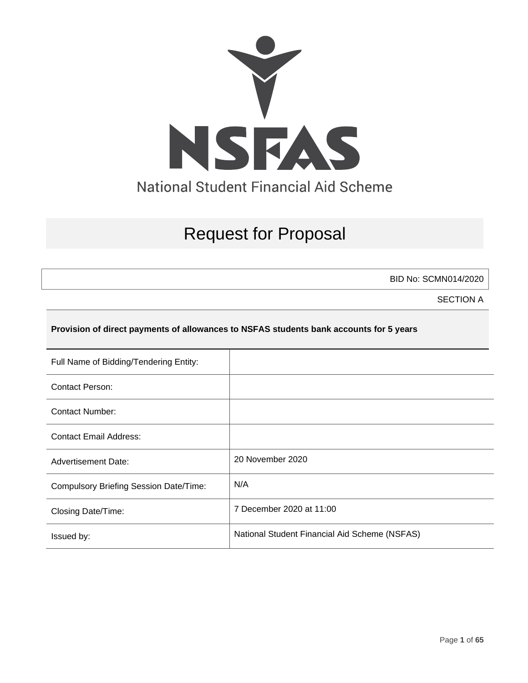

# Request for Proposal

BID No: SCMN014/2020

SECTION A

#### **Provision of direct payments of allowances to NSFAS students bank accounts for 5 years**

| Full Name of Bidding/Tendering Entity:        |                                               |
|-----------------------------------------------|-----------------------------------------------|
| Contact Person:                               |                                               |
| <b>Contact Number:</b>                        |                                               |
| <b>Contact Email Address:</b>                 |                                               |
| <b>Advertisement Date:</b>                    | 20 November 2020                              |
| <b>Compulsory Briefing Session Date/Time:</b> | N/A                                           |
| Closing Date/Time:                            | 7 December 2020 at 11:00                      |
| Issued by:                                    | National Student Financial Aid Scheme (NSFAS) |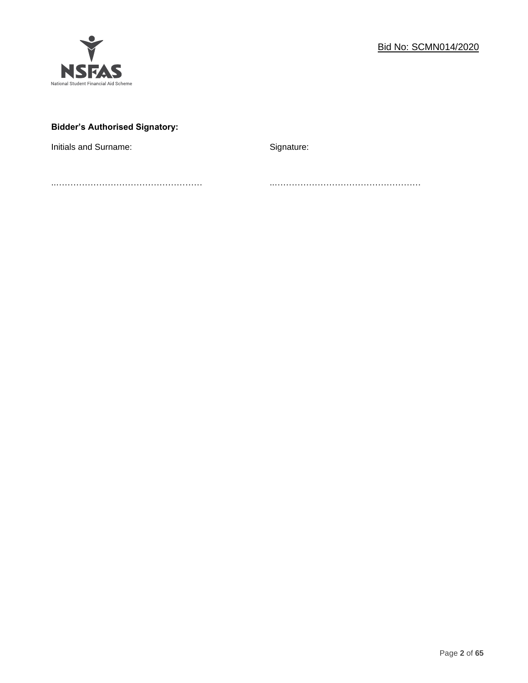

# **Bidder's Authorised Signatory:**

Initials and Surname: Signature: Signature:

..…………………………………………… ..……………………………………………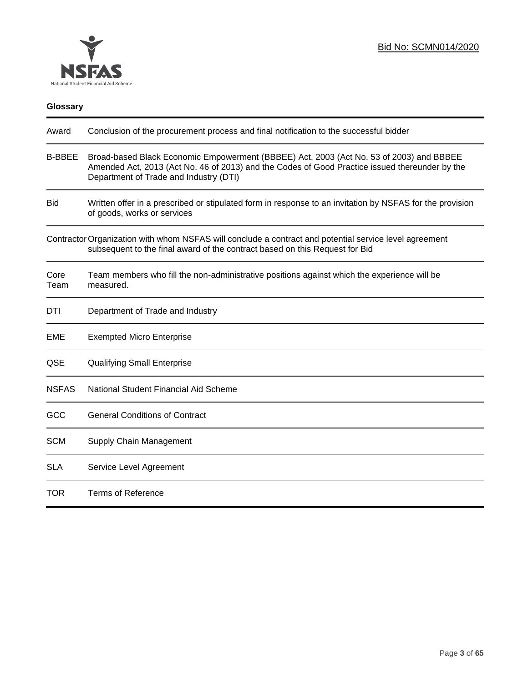

| <b>Glossary</b> |                                                                                                                                                                                                                                     |
|-----------------|-------------------------------------------------------------------------------------------------------------------------------------------------------------------------------------------------------------------------------------|
| Award           | Conclusion of the procurement process and final notification to the successful bidder                                                                                                                                               |
| <b>B-BBEE</b>   | Broad-based Black Economic Empowerment (BBBEE) Act, 2003 (Act No. 53 of 2003) and BBBEE<br>Amended Act, 2013 (Act No. 46 of 2013) and the Codes of Good Practice issued thereunder by the<br>Department of Trade and Industry (DTI) |
| Bid             | Written offer in a prescribed or stipulated form in response to an invitation by NSFAS for the provision<br>of goods, works or services                                                                                             |
|                 | Contractor Organization with whom NSFAS will conclude a contract and potential service level agreement<br>subsequent to the final award of the contract based on this Request for Bid                                               |
| Core<br>Team    | Team members who fill the non-administrative positions against which the experience will be<br>measured.                                                                                                                            |
| DTI             | Department of Trade and Industry                                                                                                                                                                                                    |
| EME             | <b>Exempted Micro Enterprise</b>                                                                                                                                                                                                    |
| QSE             | <b>Qualifying Small Enterprise</b>                                                                                                                                                                                                  |
| <b>NSFAS</b>    | National Student Financial Aid Scheme                                                                                                                                                                                               |
| GCC             | <b>General Conditions of Contract</b>                                                                                                                                                                                               |
| <b>SCM</b>      | Supply Chain Management                                                                                                                                                                                                             |
| <b>SLA</b>      | Service Level Agreement                                                                                                                                                                                                             |
| TOR             | <b>Terms of Reference</b>                                                                                                                                                                                                           |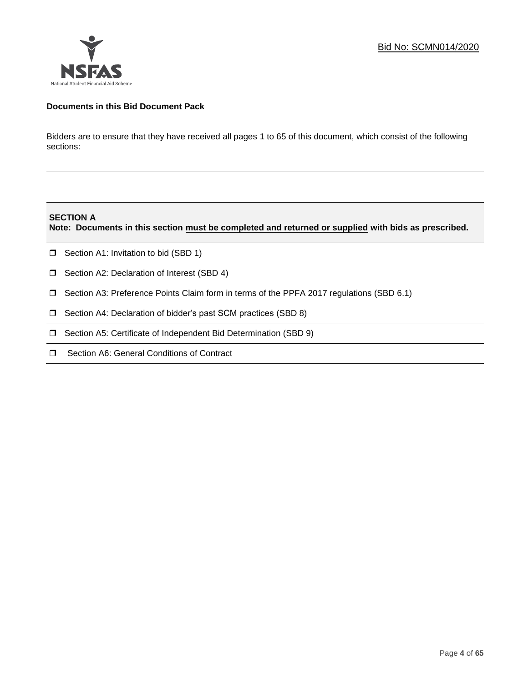

# **Documents in this Bid Document Pack**

Bidders are to ensure that they have received all pages 1 to 65 of this document, which consist of the following sections:

#### **SECTION A**

**Note: Documents in this section must be completed and returned or supplied with bids as prescribed.**

- $\Box$  Section A1: Invitation to bid (SBD 1)
- **D** Section A2: Declaration of Interest (SBD 4)
- Section A3: Preference Points Claim form in terms of the PPFA 2017 regulations (SBD 6.1)
- □ Section A4: Declaration of bidder's past SCM practices (SBD 8)
- □ Section A5: Certificate of Independent Bid Determination (SBD 9)
- $\Box$  Section A6: General Conditions of Contract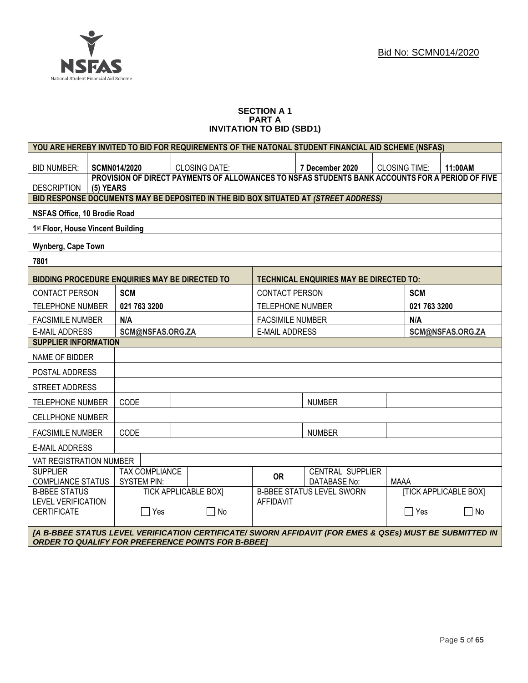

#### **SECTION A 1 PART A INVITATION TO BID (SBD1)**

| YOU ARE HEREBY INVITED TO BID FOR REQUIREMENTS OF THE NATONAL STUDENT FINANCIAL AID SCHEME (NSFAS)                                                                   |           |                                                                                                 |                       |                                                                                     |                         |                                                |                      |                 |                              |
|----------------------------------------------------------------------------------------------------------------------------------------------------------------------|-----------|-------------------------------------------------------------------------------------------------|-----------------------|-------------------------------------------------------------------------------------|-------------------------|------------------------------------------------|----------------------|-----------------|------------------------------|
| <b>BID NUMBER:</b>                                                                                                                                                   |           | <b>SCMN014/2020</b><br><b>CLOSING DATE:</b>                                                     |                       |                                                                                     | 7 December 2020         |                                                | <b>CLOSING TIME:</b> | 11:00AM         |                              |
| <b>DESCRIPTION</b>                                                                                                                                                   | (5) YEARS | PROVISION OF DIRECT PAYMENTS OF ALLOWANCES TO NSFAS STUDENTS BANK ACCOUNTS FOR A PERIOD OF FIVE |                       |                                                                                     |                         |                                                |                      |                 |                              |
|                                                                                                                                                                      |           |                                                                                                 |                       | BID RESPONSE DOCUMENTS MAY BE DEPOSITED IN THE BID BOX SITUATED AT (STREET ADDRESS) |                         |                                                |                      |                 |                              |
| NSFAS Office, 10 Brodie Road                                                                                                                                         |           |                                                                                                 |                       |                                                                                     |                         |                                                |                      |                 |                              |
| 1st Floor, House Vincent Building                                                                                                                                    |           |                                                                                                 |                       |                                                                                     |                         |                                                |                      |                 |                              |
| Wynberg, Cape Town                                                                                                                                                   |           |                                                                                                 |                       |                                                                                     |                         |                                                |                      |                 |                              |
| 7801                                                                                                                                                                 |           |                                                                                                 |                       |                                                                                     |                         |                                                |                      |                 |                              |
|                                                                                                                                                                      |           |                                                                                                 |                       | <b>BIDDING PROCEDURE ENQUIRIES MAY BE DIRECTED TO</b>                               |                         | <b>TECHNICAL ENQUIRIES MAY BE DIRECTED TO:</b> |                      |                 |                              |
| <b>CONTACT PERSON</b>                                                                                                                                                |           | <b>SCM</b>                                                                                      |                       |                                                                                     | <b>CONTACT PERSON</b>   |                                                |                      | <b>SCM</b>      |                              |
| <b>TELEPHONE NUMBER</b>                                                                                                                                              |           | 021 763 3200                                                                                    |                       |                                                                                     | <b>TELEPHONE NUMBER</b> |                                                |                      | 021 763 3200    |                              |
| <b>FACSIMILE NUMBER</b>                                                                                                                                              |           | N/A                                                                                             |                       |                                                                                     | <b>FACSIMILE NUMBER</b> |                                                |                      | N/A             |                              |
| <b>E-MAIL ADDRESS</b>                                                                                                                                                |           |                                                                                                 | SCM@NSFAS.ORG.ZA      |                                                                                     | <b>E-MAIL ADDRESS</b>   |                                                |                      |                 | SCM@NSFAS.ORG.ZA             |
| <b>SUPPLIER INFORMATION</b>                                                                                                                                          |           |                                                                                                 |                       |                                                                                     |                         |                                                |                      |                 |                              |
| NAME OF BIDDER                                                                                                                                                       |           |                                                                                                 |                       |                                                                                     |                         |                                                |                      |                 |                              |
| POSTAL ADDRESS                                                                                                                                                       |           |                                                                                                 |                       |                                                                                     |                         |                                                |                      |                 |                              |
| STREET ADDRESS                                                                                                                                                       |           |                                                                                                 |                       |                                                                                     |                         |                                                |                      |                 |                              |
| <b>TELEPHONE NUMBER</b>                                                                                                                                              |           | CODE                                                                                            |                       |                                                                                     |                         | <b>NUMBER</b>                                  |                      |                 |                              |
| <b>CELLPHONE NUMBER</b>                                                                                                                                              |           |                                                                                                 |                       |                                                                                     |                         |                                                |                      |                 |                              |
| <b>FACSIMILE NUMBER</b>                                                                                                                                              |           | CODE                                                                                            |                       |                                                                                     |                         | <b>NUMBER</b>                                  |                      |                 |                              |
| <b>E-MAIL ADDRESS</b>                                                                                                                                                |           |                                                                                                 |                       |                                                                                     |                         |                                                |                      |                 |                              |
| VAT REGISTRATION NUMBER                                                                                                                                              |           |                                                                                                 |                       |                                                                                     |                         |                                                |                      |                 |                              |
| <b>SUPPLIER</b><br><b>COMPLIANCE STATUS</b>                                                                                                                          |           | <b>SYSTEM PIN:</b>                                                                              | <b>TAX COMPLIANCE</b> |                                                                                     | <b>OR</b>               | <b>CENTRAL SUPPLIER</b><br>DATABASE No:        | <b>MAAA</b>          |                 |                              |
| <b>B-BBEE STATUS</b><br><b>LEVEL VERIFICATION</b>                                                                                                                    |           |                                                                                                 |                       | <b>TICK APPLICABLE BOX]</b>                                                         | <b>AFFIDAVIT</b>        | <b>B-BBEE STATUS LEVEL SWORN</b>               |                      |                 | <b>[TICK APPLICABLE BOX]</b> |
| <b>CERTIFICATE</b>                                                                                                                                                   |           |                                                                                                 | $\Box$ Yes            | 7 No                                                                                |                         |                                                |                      | $\sqsupset$ Yes | No<br>$\mathbf{L}$           |
| [A B-BBEE STATUS LEVEL VERIFICATION CERTIFICATE/ SWORN AFFIDAVIT (FOR EMES & QSEs) MUST BE SUBMITTED IN<br><b>ORDER TO QUALIFY FOR PREFERENCE POINTS FOR B-BBEET</b> |           |                                                                                                 |                       |                                                                                     |                         |                                                |                      |                 |                              |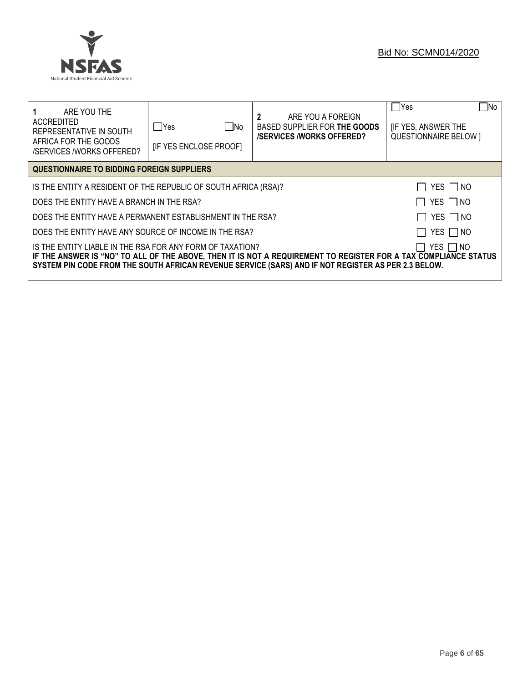

| ARE YOU THE<br>ACCREDITED<br>REPRESENTATIVE IN SOUTH<br>AFRICA FOR THE GOODS<br><b>/SERVICES /WORKS OFFERED?</b>                                                                                                                                                                                 | $\Box$ No<br>lYes<br><b>IF YES ENCLOSE PROOFI</b> | ARE YOU A FOREIGN<br>BASED SUPPLIER FOR THE GOODS<br><b>/SERVICES/WORKS OFFERED?</b> | No⊓<br>$\Box$ Yes<br><b>IF YES, ANSWER THE</b><br><b>QUESTIONNAIRE BELOW 1</b> |  |
|--------------------------------------------------------------------------------------------------------------------------------------------------------------------------------------------------------------------------------------------------------------------------------------------------|---------------------------------------------------|--------------------------------------------------------------------------------------|--------------------------------------------------------------------------------|--|
| <b>QUESTIONNAIRE TO BIDDING FOREIGN SUPPLIERS</b>                                                                                                                                                                                                                                                |                                                   |                                                                                      |                                                                                |  |
| IS THE ENTITY A RESIDENT OF THE REPUBLIC OF SOUTH AFRICA (RSA)?                                                                                                                                                                                                                                  |                                                   |                                                                                      | YES I NO                                                                       |  |
| DOES THE ENTITY HAVE A BRANCH IN THE RSA?                                                                                                                                                                                                                                                        |                                                   |                                                                                      | YES $\Box$ NO                                                                  |  |
| DOES THE ENTITY HAVE A PERMANENT ESTABLISHMENT IN THE RSA?                                                                                                                                                                                                                                       |                                                   |                                                                                      | YES $\Box$ NO                                                                  |  |
| YES     NO<br>DOES THE ENTITY HAVE ANY SOURCE OF INCOME IN THE RSA?                                                                                                                                                                                                                              |                                                   |                                                                                      |                                                                                |  |
| IS THE ENTITY LIABLE IN THE RSA FOR ANY FORM OF TAXATION?<br>YES I INO<br>IF THE ANSWER IS "NO" TO ALL OF THE ABOVE, THEN IT IS NOT A REQUIREMENT TO REGISTER FOR A TAX COMPLIANCE STATUS<br>SYSTEM PIN CODE FROM THE SOUTH AFRICAN REVENUE SERVICE (SARS) AND IF NOT REGISTER AS PER 2.3 BELOW. |                                                   |                                                                                      |                                                                                |  |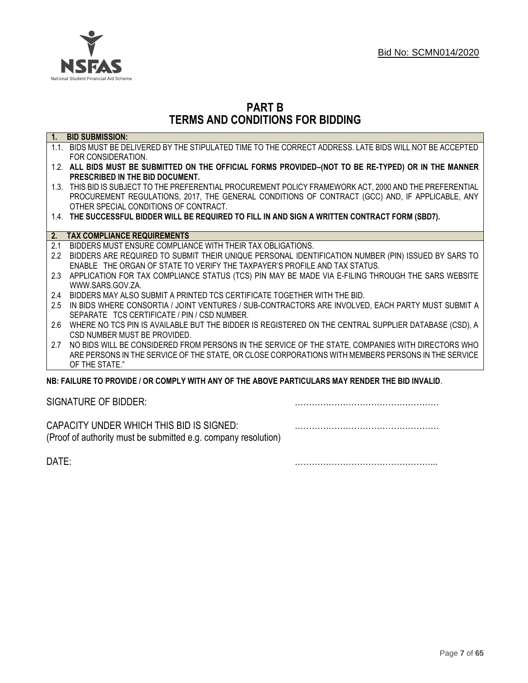

# **PART B TERMS AND CONDITIONS FOR BIDDING**

| $\overline{1}$ . | <b>BID SUBMISSION:</b>                                                                                    |
|------------------|-----------------------------------------------------------------------------------------------------------|
|                  | 1.1. BIDS MUST BE DELIVERED BY THE STIPULATED TIME TO THE CORRECT ADDRESS. LATE BIDS WILL NOT BE ACCEPTED |
|                  | FOR CONSIDERATION.                                                                                        |
|                  | 1.2. ALL BIDS MUST BE SUBMITTED ON THE OFFICIAL FORMS PROVIDED-(NOT TO BE RE-TYPED) OR IN THE MANNER      |
|                  | PRESCRIBED IN THE BID DOCUMENT.                                                                           |
|                  | 1.3. THIS BID IS SUBJECT TO THE PREFERENTIAL PROCUREMENT POLICY FRAMEWORK ACT, 2000 AND THE PREFERENTIAL  |
|                  | PROCUREMENT REGULATIONS, 2017, THE GENERAL CONDITIONS OF CONTRACT (GCC) AND, IF APPLICABLE, ANY           |
|                  | OTHER SPECIAL CONDITIONS OF CONTRACT.                                                                     |
|                  | 1.4. THE SUCCESSFUL BIDDER WILL BE REQUIRED TO FILL IN AND SIGN A WRITTEN CONTRACT FORM (SBD7).           |
|                  |                                                                                                           |
| 2.               | <b>TAX COMPLIANCE REQUIREMENTS</b>                                                                        |
| 2.1              | BIDDERS MUST ENSURE COMPLIANCE WITH THEIR TAX OBLIGATIONS.                                                |
| $2.2^{\circ}$    | BIDDERS ARE REQUIRED TO SUBMIT THEIR UNIQUE PERSONAL IDENTIFICATION NUMBER (PIN) ISSUED BY SARS TO        |
|                  | ENABLE THE ORGAN OF STATE TO VERIFY THE TAXPAYER'S PROFILE AND TAX STATUS.                                |
| 2.3              | APPLICATION FOR TAX COMPLIANCE STATUS (TCS) PIN MAY BE MADE VIA E-FILING THROUGH THE SARS WEBSITE         |
|                  | WWW.SARS.GOV.ZA                                                                                           |
| 2.4              | BIDDERS MAY ALSO SUBMIT A PRINTED TCS CERTIFICATE TOGETHER WITH THE BID.                                  |
| 2.5              | IN BIDS WHERE CONSORTIA / JOINT VENTURES / SUB-CONTRACTORS ARE INVOLVED, EACH PARTY MUST SUBMIT A         |
|                  | SEPARATE TCS CERTIFICATE / PIN / CSD NUMBER.                                                              |
| 2.6              | WHERE NO TCS PIN IS AVAILABLE BUT THE BIDDER IS REGISTERED ON THE CENTRAL SUPPLIER DATABASE (CSD), A      |
|                  | CSD NUMBER MUST BE PROVIDED.                                                                              |
| 2.7              | NO BIDS WILL BE CONSIDERED FROM PERSONS IN THE SERVICE OF THE STATE, COMPANIES WITH DIRECTORS WHO         |
|                  | ARE PERSONS IN THE SERVICE OF THE STATE, OR CLOSE CORPORATIONS WITH MEMBERS PERSONS IN THE SERVICE        |
|                  | OF THE STATE."                                                                                            |
|                  | NB: FAILURE TO PROVIDE / OR COMPLY WITH ANY OF THE ABOVE PARTICULARS MAY RENDER THE BID INVALID.          |
|                  |                                                                                                           |

SIGNATURE OF BIDDER: ……………………………………………

CAPACITY UNDER WHICH THIS BID IS SIGNED: …………………………………………… (Proof of authority must be submitted e.g. company resolution)

DATE: …………………………………………...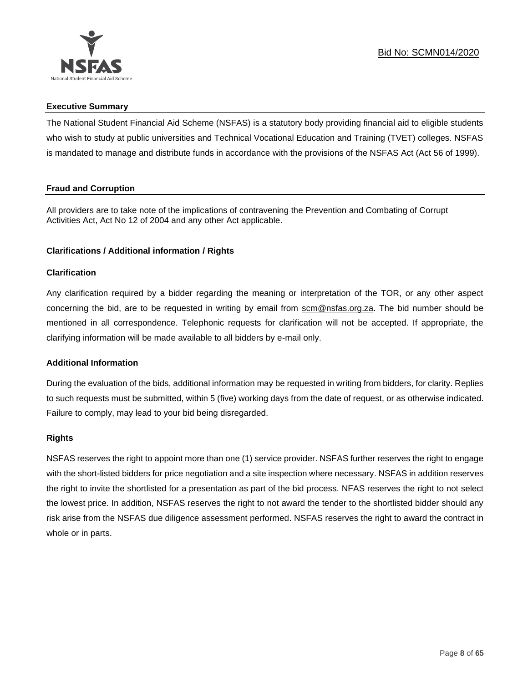

# **Executive Summary**

The National Student Financial Aid Scheme (NSFAS) is a statutory body providing financial aid to eligible students who wish to study at public universities and Technical Vocational Education and Training (TVET) colleges. NSFAS is mandated to manage and distribute funds in accordance with the provisions of the NSFAS Act (Act 56 of 1999).

# **Fraud and Corruption**

All providers are to take note of the implications of contravening the Prevention and Combating of Corrupt Activities Act, Act No 12 of 2004 and any other Act applicable.

# **Clarifications / Additional information / Rights**

# **Clarification**

Any clarification required by a bidder regarding the meaning or interpretation of the TOR, or any other aspect concerning the bid, are to be requested in writing by email from scm@nsfas.org.za. The bid number should be mentioned in all correspondence. Telephonic requests for clarification will not be accepted. If appropriate, the clarifying information will be made available to all bidders by e-mail only.

# **Additional Information**

During the evaluation of the bids, additional information may be requested in writing from bidders, for clarity. Replies to such requests must be submitted, within 5 (five) working days from the date of request, or as otherwise indicated. Failure to comply, may lead to your bid being disregarded.

# **Rights**

NSFAS reserves the right to appoint more than one (1) service provider. NSFAS further reserves the right to engage with the short-listed bidders for price negotiation and a site inspection where necessary. NSFAS in addition reserves the right to invite the shortlisted for a presentation as part of the bid process. NFAS reserves the right to not select the lowest price. In addition, NSFAS reserves the right to not award the tender to the shortlisted bidder should any risk arise from the NSFAS due diligence assessment performed. NSFAS reserves the right to award the contract in whole or in parts.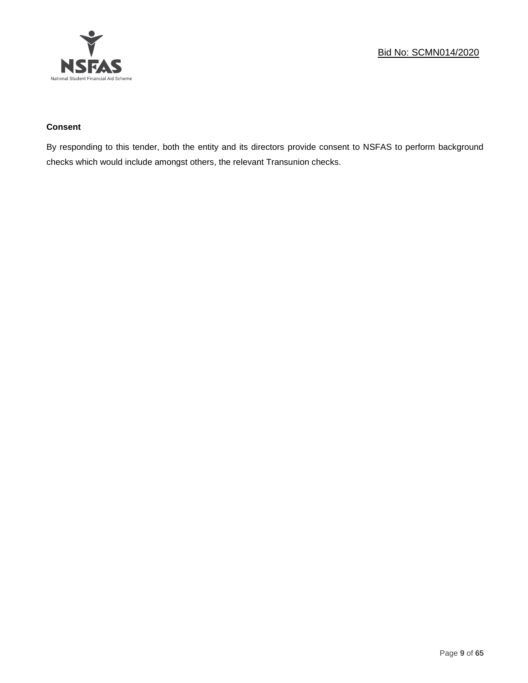

# **Consent**

By responding to this tender, both the entity and its directors provide consent to NSFAS to perform background checks which would include amongst others, the relevant Transunion checks.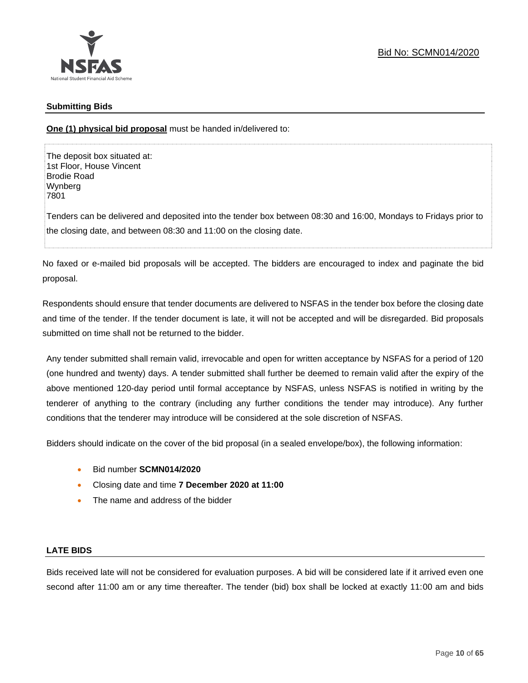

# **Submitting Bids**

**One (1) physical bid proposal** must be handed in/delivered to:

The deposit box situated at: 1st Floor, House Vincent Brodie Road Wynberg 7801

Tenders can be delivered and deposited into the tender box between 08:30 and 16:00, Mondays to Fridays prior to the closing date, and between 08:30 and 11:00 on the closing date.

No faxed or e-mailed bid proposals will be accepted. The bidders are encouraged to index and paginate the bid proposal.

Respondents should ensure that tender documents are delivered to NSFAS in the tender box before the closing date and time of the tender. If the tender document is late, it will not be accepted and will be disregarded. Bid proposals submitted on time shall not be returned to the bidder.

Any tender submitted shall remain valid, irrevocable and open for written acceptance by NSFAS for a period of 120 (one hundred and twenty) days. A tender submitted shall further be deemed to remain valid after the expiry of the above mentioned 120-day period until formal acceptance by NSFAS, unless NSFAS is notified in writing by the tenderer of anything to the contrary (including any further conditions the tender may introduce). Any further conditions that the tenderer may introduce will be considered at the sole discretion of NSFAS.

Bidders should indicate on the cover of the bid proposal (in a sealed envelope/box), the following information:

- Bid number **SCMN014/2020**
- Closing date and time **7 December 2020 at 11:00**
- The name and address of the bidder

# **LATE BIDS**

Bids received late will not be considered for evaluation purposes. A bid will be considered late if it arrived even one second after 11:00 am or any time thereafter. The tender (bid) box shall be locked at exactly 11:00 am and bids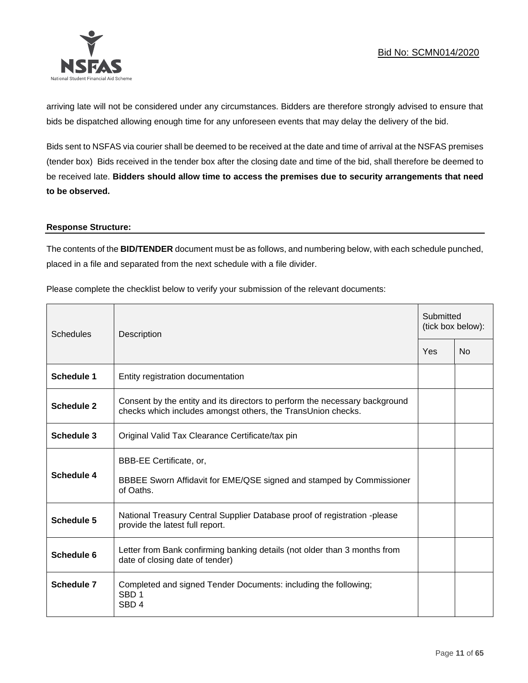

arriving late will not be considered under any circumstances. Bidders are therefore strongly advised to ensure that bids be dispatched allowing enough time for any unforeseen events that may delay the delivery of the bid.

Bids sent to NSFAS via courier shall be deemed to be received at the date and time of arrival at the NSFAS premises (tender box) Bids received in the tender box after the closing date and time of the bid, shall therefore be deemed to be received late. **Bidders should allow time to access the premises due to security arrangements that need to be observed.**

#### **Response Structure:**

The contents of the **BID/TENDER** document must be as follows, and numbering below, with each schedule punched, placed in a file and separated from the next schedule with a file divider.

Please complete the checklist below to verify your submission of the relevant documents:

| <b>Schedules</b>  | Description                                                                                                                                 |     | Submitted<br>(tick box below): |  |
|-------------------|---------------------------------------------------------------------------------------------------------------------------------------------|-----|--------------------------------|--|
|                   |                                                                                                                                             | Yes | N <sub>0</sub>                 |  |
| <b>Schedule 1</b> | Entity registration documentation                                                                                                           |     |                                |  |
| Schedule 2        | Consent by the entity and its directors to perform the necessary background<br>checks which includes amongst others, the TransUnion checks. |     |                                |  |
| Schedule 3        | Original Valid Tax Clearance Certificate/tax pin                                                                                            |     |                                |  |
| Schedule 4        | BBB-EE Certificate, or,<br>BBBEE Sworn Affidavit for EME/QSE signed and stamped by Commissioner<br>of Oaths.                                |     |                                |  |
| Schedule 5        | National Treasury Central Supplier Database proof of registration -please<br>provide the latest full report.                                |     |                                |  |
| Schedule 6        | Letter from Bank confirming banking details (not older than 3 months from<br>date of closing date of tender)                                |     |                                |  |
| Schedule 7        | Completed and signed Tender Documents: including the following;<br>SBD <sub>1</sub><br>SBD <sub>4</sub>                                     |     |                                |  |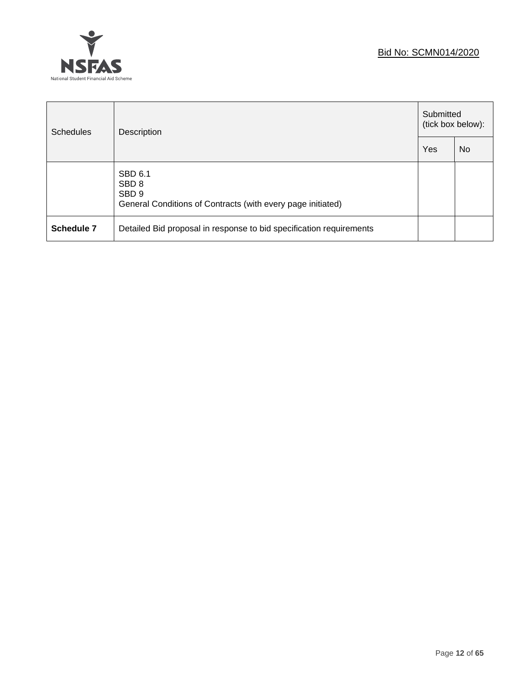

| <b>Schedules</b> | Description                                                                                                    |  | Submitted<br>(tick box below): |  |
|------------------|----------------------------------------------------------------------------------------------------------------|--|--------------------------------|--|
|                  |                                                                                                                |  | N <sub>0</sub>                 |  |
|                  | SBD 6.1<br>SBD <sub>8</sub><br>SBD <sub>9</sub><br>General Conditions of Contracts (with every page initiated) |  |                                |  |
| Schedule 7       | Detailed Bid proposal in response to bid specification requirements                                            |  |                                |  |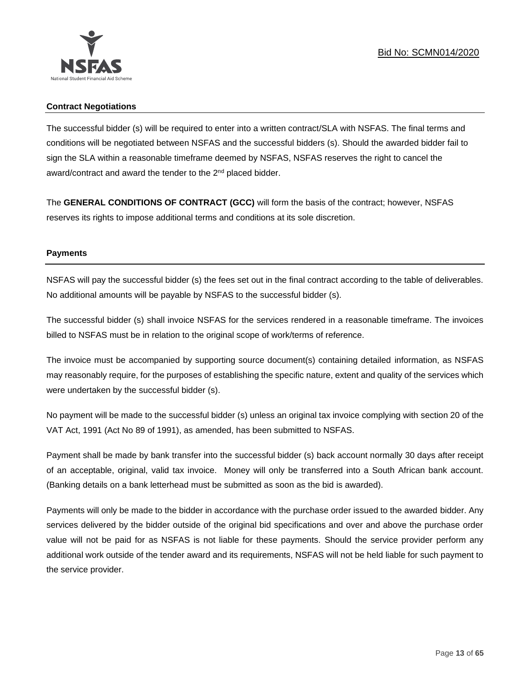

# **Contract Negotiations**

The successful bidder (s) will be required to enter into a written contract/SLA with NSFAS. The final terms and conditions will be negotiated between NSFAS and the successful bidders (s). Should the awarded bidder fail to sign the SLA within a reasonable timeframe deemed by NSFAS, NSFAS reserves the right to cancel the award/contract and award the tender to the 2<sup>nd</sup> placed bidder.

The **GENERAL CONDITIONS OF CONTRACT (GCC)** will form the basis of the contract; however, NSFAS reserves its rights to impose additional terms and conditions at its sole discretion.

# **Payments**

NSFAS will pay the successful bidder (s) the fees set out in the final contract according to the table of deliverables. No additional amounts will be payable by NSFAS to the successful bidder (s).

The successful bidder (s) shall invoice NSFAS for the services rendered in a reasonable timeframe. The invoices billed to NSFAS must be in relation to the original scope of work/terms of reference.

The invoice must be accompanied by supporting source document(s) containing detailed information, as NSFAS may reasonably require, for the purposes of establishing the specific nature, extent and quality of the services which were undertaken by the successful bidder (s).

No payment will be made to the successful bidder (s) unless an original tax invoice complying with section 20 of the VAT Act, 1991 (Act No 89 of 1991), as amended, has been submitted to NSFAS.

Payment shall be made by bank transfer into the successful bidder (s) back account normally 30 days after receipt of an acceptable, original, valid tax invoice. Money will only be transferred into a South African bank account. (Banking details on a bank letterhead must be submitted as soon as the bid is awarded).

Payments will only be made to the bidder in accordance with the purchase order issued to the awarded bidder. Any services delivered by the bidder outside of the original bid specifications and over and above the purchase order value will not be paid for as NSFAS is not liable for these payments. Should the service provider perform any additional work outside of the tender award and its requirements, NSFAS will not be held liable for such payment to the service provider.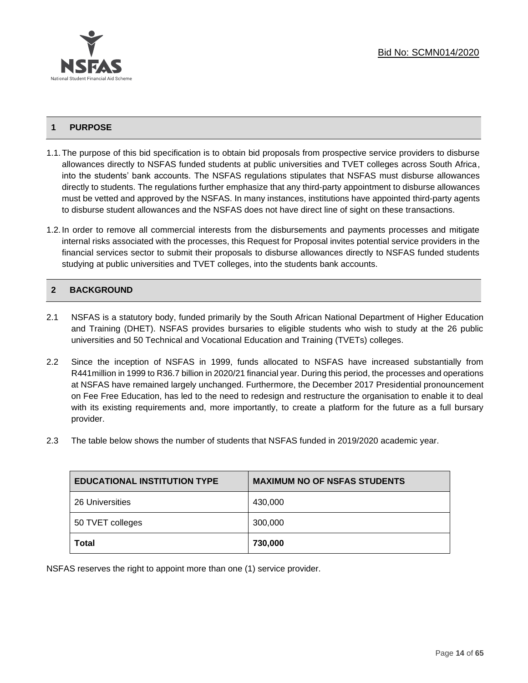

# **1 PURPOSE**

- 1.1.The purpose of this bid specification is to obtain bid proposals from prospective service providers to disburse allowances directly to NSFAS funded students at public universities and TVET colleges across South Africa, into the students' bank accounts. The NSFAS regulations stipulates that NSFAS must disburse allowances directly to students. The regulations further emphasize that any third-party appointment to disburse allowances must be vetted and approved by the NSFAS. In many instances, institutions have appointed third-party agents to disburse student allowances and the NSFAS does not have direct line of sight on these transactions.
- 1.2. In order to remove all commercial interests from the disbursements and payments processes and mitigate internal risks associated with the processes, this Request for Proposal invites potential service providers in the financial services sector to submit their proposals to disburse allowances directly to NSFAS funded students studying at public universities and TVET colleges, into the students bank accounts.

# **2 BACKGROUND**

- 2.1 NSFAS is a statutory body, funded primarily by the South African National Department of Higher Education and Training (DHET). NSFAS provides bursaries to eligible students who wish to study at the 26 public universities and 50 Technical and Vocational Education and Training (TVETs) colleges.
- 2.2 Since the inception of NSFAS in 1999, funds allocated to NSFAS have increased substantially from R441million in 1999 to R36.7 billion in 2020/21 financial year. During this period, the processes and operations at NSFAS have remained largely unchanged. Furthermore, the December 2017 Presidential pronouncement on Fee Free Education, has led to the need to redesign and restructure the organisation to enable it to deal with its existing requirements and, more importantly, to create a platform for the future as a full bursary provider.
- 2.3 The table below shows the number of students that NSFAS funded in 2019/2020 academic year.

| <b>EDUCATIONAL INSTITUTION TYPE</b> | <b>MAXIMUM NO OF NSFAS STUDENTS</b> |
|-------------------------------------|-------------------------------------|
| 26 Universities                     | 430,000                             |
| 50 TVET colleges                    | 300,000                             |
| Total                               | 730,000                             |

NSFAS reserves the right to appoint more than one (1) service provider.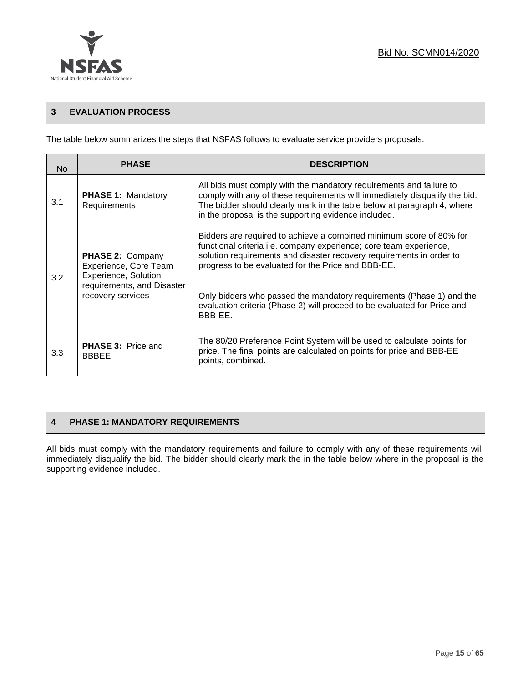

# **3 EVALUATION PROCESS**

The table below summarizes the steps that NSFAS follows to evaluate service providers proposals.

| No. | <b>PHASE</b>                                                                                                                | <b>DESCRIPTION</b>                                                                                                                                                                                                                                                                                                                                                                                                                     |
|-----|-----------------------------------------------------------------------------------------------------------------------------|----------------------------------------------------------------------------------------------------------------------------------------------------------------------------------------------------------------------------------------------------------------------------------------------------------------------------------------------------------------------------------------------------------------------------------------|
| 3.1 | <b>PHASE 1: Mandatory</b><br>Requirements                                                                                   | All bids must comply with the mandatory requirements and failure to<br>comply with any of these requirements will immediately disqualify the bid.<br>The bidder should clearly mark in the table below at paragraph 4, where<br>in the proposal is the supporting evidence included.                                                                                                                                                   |
| 3.2 | <b>PHASE 2: Company</b><br>Experience, Core Team<br>Experience, Solution<br>requirements, and Disaster<br>recovery services | Bidders are required to achieve a combined minimum score of 80% for<br>functional criteria i.e. company experience; core team experience,<br>solution requirements and disaster recovery requirements in order to<br>progress to be evaluated for the Price and BBB-EE.<br>Only bidders who passed the mandatory requirements (Phase 1) and the<br>evaluation criteria (Phase 2) will proceed to be evaluated for Price and<br>BBB-EE. |
| 3.3 | <b>PHASE 3: Price and</b><br><b>BBBEE</b>                                                                                   | The 80/20 Preference Point System will be used to calculate points for<br>price. The final points are calculated on points for price and BBB-EE<br>points, combined.                                                                                                                                                                                                                                                                   |

# **4 PHASE 1: MANDATORY REQUIREMENTS**

All bids must comply with the mandatory requirements and failure to comply with any of these requirements will immediately disqualify the bid. The bidder should clearly mark the in the table below where in the proposal is the supporting evidence included.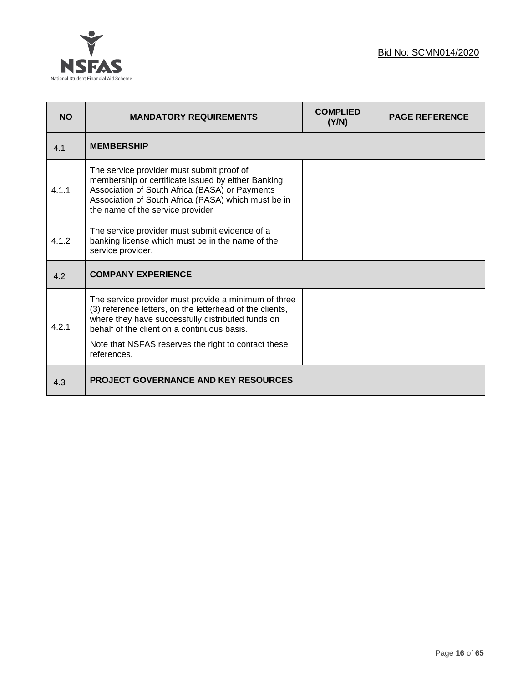



| <b>NO</b> | <b>MANDATORY REQUIREMENTS</b>                                                                                                                                                                                                                                                              | <b>COMPLIED</b><br>(Y/N) | <b>PAGE REFERENCE</b> |
|-----------|--------------------------------------------------------------------------------------------------------------------------------------------------------------------------------------------------------------------------------------------------------------------------------------------|--------------------------|-----------------------|
| 4.1       | <b>MEMBERSHIP</b>                                                                                                                                                                                                                                                                          |                          |                       |
| 4.1.1     | The service provider must submit proof of<br>membership or certificate issued by either Banking<br>Association of South Africa (BASA) or Payments<br>Association of South Africa (PASA) which must be in<br>the name of the service provider                                               |                          |                       |
| 4.1.2     | The service provider must submit evidence of a<br>banking license which must be in the name of the<br>service provider.                                                                                                                                                                    |                          |                       |
| 4.2       | <b>COMPANY EXPERIENCE</b>                                                                                                                                                                                                                                                                  |                          |                       |
| 4.2.1     | The service provider must provide a minimum of three<br>(3) reference letters, on the letterhead of the clients,<br>where they have successfully distributed funds on<br>behalf of the client on a continuous basis.<br>Note that NSFAS reserves the right to contact these<br>references. |                          |                       |
| 4.3       | <b>PROJECT GOVERNANCE AND KEY RESOURCES</b>                                                                                                                                                                                                                                                |                          |                       |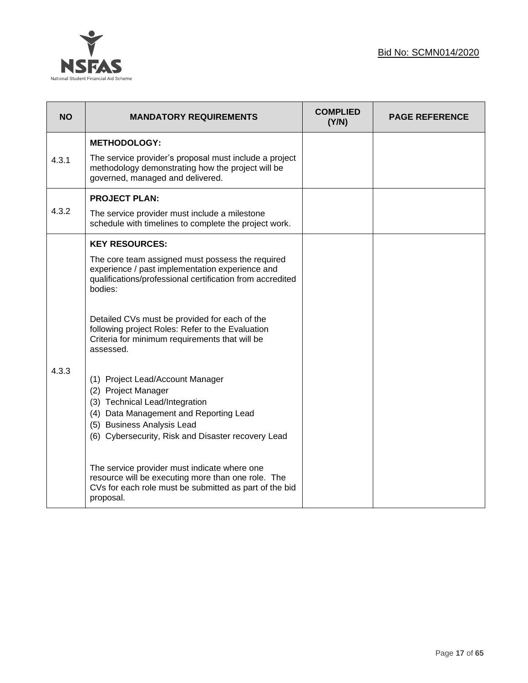

| <b>NO</b> | <b>MANDATORY REQUIREMENTS</b>                                                                                                                                                                                           | <b>COMPLIED</b><br>(Y/N) | <b>PAGE REFERENCE</b> |
|-----------|-------------------------------------------------------------------------------------------------------------------------------------------------------------------------------------------------------------------------|--------------------------|-----------------------|
|           | <b>METHODOLOGY:</b>                                                                                                                                                                                                     |                          |                       |
| 4.3.1     | The service provider's proposal must include a project<br>methodology demonstrating how the project will be<br>governed, managed and delivered.                                                                         |                          |                       |
|           | <b>PROJECT PLAN:</b>                                                                                                                                                                                                    |                          |                       |
| 4.3.2     | The service provider must include a milestone<br>schedule with timelines to complete the project work.                                                                                                                  |                          |                       |
|           | <b>KEY RESOURCES:</b>                                                                                                                                                                                                   |                          |                       |
|           | The core team assigned must possess the required<br>experience / past implementation experience and<br>qualifications/professional certification from accredited<br>bodies:                                             |                          |                       |
|           | Detailed CVs must be provided for each of the<br>following project Roles: Refer to the Evaluation<br>Criteria for minimum requirements that will be<br>assessed.                                                        |                          |                       |
| 4.3.3     | (1) Project Lead/Account Manager<br>(2) Project Manager<br>(3) Technical Lead/Integration<br>(4) Data Management and Reporting Lead<br>(5) Business Analysis Lead<br>(6) Cybersecurity, Risk and Disaster recovery Lead |                          |                       |
|           | The service provider must indicate where one<br>resource will be executing more than one role. The<br>CVs for each role must be submitted as part of the bid<br>proposal.                                               |                          |                       |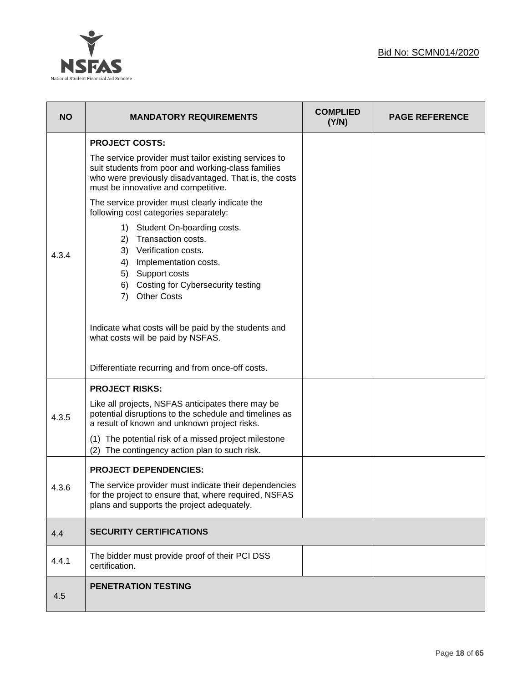

| <b>NO</b> | <b>MANDATORY REQUIREMENTS</b>                                                                                                                                                                                        | <b>COMPLIED</b><br>(Y/N) | <b>PAGE REFERENCE</b> |
|-----------|----------------------------------------------------------------------------------------------------------------------------------------------------------------------------------------------------------------------|--------------------------|-----------------------|
|           | <b>PROJECT COSTS:</b>                                                                                                                                                                                                |                          |                       |
|           | The service provider must tailor existing services to<br>suit students from poor and working-class families<br>who were previously disadvantaged. That is, the costs<br>must be innovative and competitive.          |                          |                       |
|           | The service provider must clearly indicate the<br>following cost categories separately:                                                                                                                              |                          |                       |
| 4.3.4     | Student On-boarding costs.<br>1)<br>Transaction costs.<br>2)<br>3) Verification costs.<br>4) Implementation costs.<br>5) Support costs<br><b>Costing for Cybersecurity testing</b><br>6)<br><b>Other Costs</b><br>7) |                          |                       |
|           | Indicate what costs will be paid by the students and<br>what costs will be paid by NSFAS.                                                                                                                            |                          |                       |
|           | Differentiate recurring and from once-off costs.                                                                                                                                                                     |                          |                       |
|           | <b>PROJECT RISKS:</b>                                                                                                                                                                                                |                          |                       |
| 4.3.5     | Like all projects, NSFAS anticipates there may be<br>potential disruptions to the schedule and timelines as<br>a result of known and unknown project risks.                                                          |                          |                       |
|           | (1) The potential risk of a missed project milestone<br>The contingency action plan to such risk.<br>(2)                                                                                                             |                          |                       |
|           | <b>PROJECT DEPENDENCIES:</b>                                                                                                                                                                                         |                          |                       |
| 4.3.6     | The service provider must indicate their dependencies<br>for the project to ensure that, where required, NSFAS<br>plans and supports the project adequately.                                                         |                          |                       |
| 4.4       | <b>SECURITY CERTIFICATIONS</b>                                                                                                                                                                                       |                          |                       |
| 4.4.1     | The bidder must provide proof of their PCI DSS<br>certification.                                                                                                                                                     |                          |                       |
| 4.5       | <b>PENETRATION TESTING</b>                                                                                                                                                                                           |                          |                       |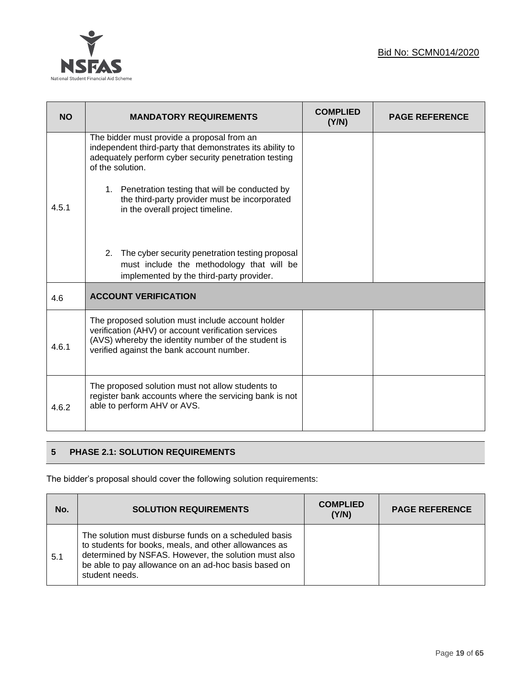

| <b>NO</b> | <b>MANDATORY REQUIREMENTS</b>                                                                                                                                                                                | <b>COMPLIED</b><br>(Y/N) | <b>PAGE REFERENCE</b> |
|-----------|--------------------------------------------------------------------------------------------------------------------------------------------------------------------------------------------------------------|--------------------------|-----------------------|
|           | The bidder must provide a proposal from an<br>independent third-party that demonstrates its ability to<br>adequately perform cyber security penetration testing<br>of the solution.                          |                          |                       |
| 4.5.1     | 1. Penetration testing that will be conducted by<br>the third-party provider must be incorporated<br>in the overall project timeline.                                                                        |                          |                       |
|           | 2.<br>The cyber security penetration testing proposal<br>must include the methodology that will be<br>implemented by the third-party provider.                                                               |                          |                       |
| 4.6       | <b>ACCOUNT VERIFICATION</b>                                                                                                                                                                                  |                          |                       |
| 4.6.1     | The proposed solution must include account holder<br>verification (AHV) or account verification services<br>(AVS) whereby the identity number of the student is<br>verified against the bank account number. |                          |                       |
| 4.6.2     | The proposed solution must not allow students to<br>register bank accounts where the servicing bank is not<br>able to perform AHV or AVS.                                                                    |                          |                       |

# **5 PHASE 2.1: SOLUTION REQUIREMENTS**

The bidder's proposal should cover the following solution requirements:

| No. | <b>SOLUTION REQUIREMENTS</b>                                                                                                                                                                                                                     | <b>COMPLIED</b><br>(Y/N) | <b>PAGE REFERENCE</b> |
|-----|--------------------------------------------------------------------------------------------------------------------------------------------------------------------------------------------------------------------------------------------------|--------------------------|-----------------------|
| 5.1 | The solution must disburse funds on a scheduled basis<br>to students for books, meals, and other allowances as<br>determined by NSFAS. However, the solution must also<br>be able to pay allowance on an ad-hoc basis based on<br>student needs. |                          |                       |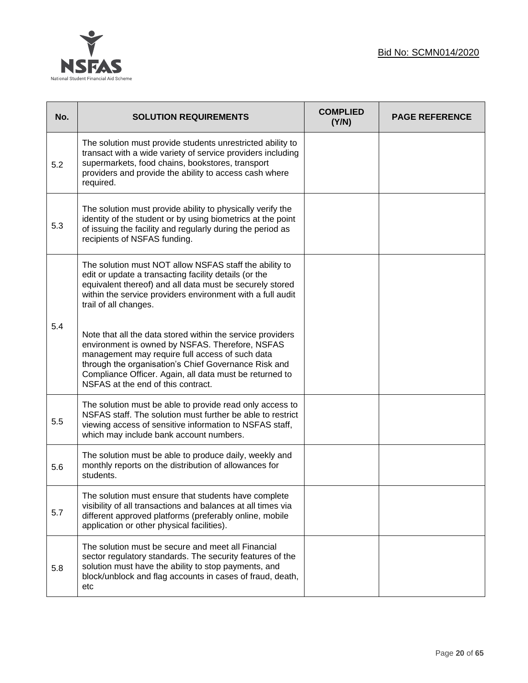



| No. | <b>SOLUTION REQUIREMENTS</b>                                                                                                                                                                                                                                                                                              | <b>COMPLIED</b><br>(Y/N) | <b>PAGE REFERENCE</b> |
|-----|---------------------------------------------------------------------------------------------------------------------------------------------------------------------------------------------------------------------------------------------------------------------------------------------------------------------------|--------------------------|-----------------------|
| 5.2 | The solution must provide students unrestricted ability to<br>transact with a wide variety of service providers including<br>supermarkets, food chains, bookstores, transport<br>providers and provide the ability to access cash where<br>required.                                                                      |                          |                       |
| 5.3 | The solution must provide ability to physically verify the<br>identity of the student or by using biometrics at the point<br>of issuing the facility and regularly during the period as<br>recipients of NSFAS funding.                                                                                                   |                          |                       |
|     | The solution must NOT allow NSFAS staff the ability to<br>edit or update a transacting facility details (or the<br>equivalent thereof) and all data must be securely stored<br>within the service providers environment with a full audit<br>trail of all changes.                                                        |                          |                       |
| 5.4 | Note that all the data stored within the service providers<br>environment is owned by NSFAS. Therefore, NSFAS<br>management may require full access of such data<br>through the organisation's Chief Governance Risk and<br>Compliance Officer. Again, all data must be returned to<br>NSFAS at the end of this contract. |                          |                       |
| 5.5 | The solution must be able to provide read only access to<br>NSFAS staff. The solution must further be able to restrict<br>viewing access of sensitive information to NSFAS staff,<br>which may include bank account numbers.                                                                                              |                          |                       |
| 5.6 | The solution must be able to produce daily, weekly and<br>monthly reports on the distribution of allowances for<br>students.                                                                                                                                                                                              |                          |                       |
| 5.7 | The solution must ensure that students have complete<br>visibility of all transactions and balances at all times via<br>different approved platforms (preferably online, mobile<br>application or other physical facilities).                                                                                             |                          |                       |
| 5.8 | The solution must be secure and meet all Financial<br>sector regulatory standards. The security features of the<br>solution must have the ability to stop payments, and<br>block/unblock and flag accounts in cases of fraud, death,<br>etc                                                                               |                          |                       |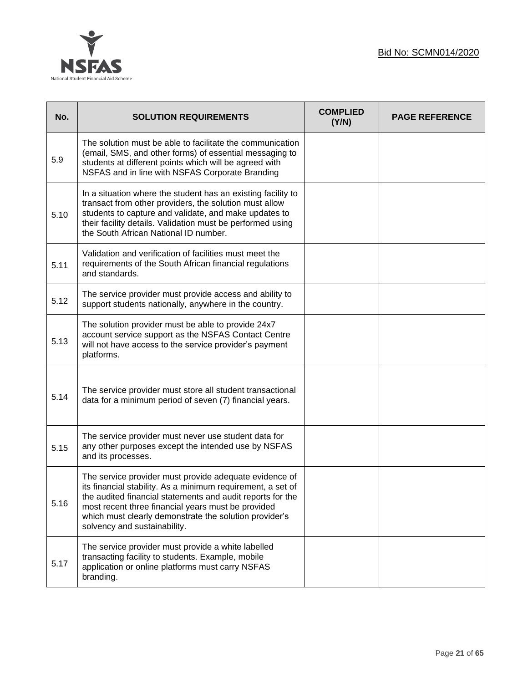



| No.  | <b>SOLUTION REQUIREMENTS</b>                                                                                                                                                                                                                                                                                                        | <b>COMPLIED</b><br>(Y/N) | <b>PAGE REFERENCE</b> |
|------|-------------------------------------------------------------------------------------------------------------------------------------------------------------------------------------------------------------------------------------------------------------------------------------------------------------------------------------|--------------------------|-----------------------|
| 5.9  | The solution must be able to facilitate the communication<br>(email, SMS, and other forms) of essential messaging to<br>students at different points which will be agreed with<br>NSFAS and in line with NSFAS Corporate Branding                                                                                                   |                          |                       |
| 5.10 | In a situation where the student has an existing facility to<br>transact from other providers, the solution must allow<br>students to capture and validate, and make updates to<br>their facility details. Validation must be performed using<br>the South African National ID number.                                              |                          |                       |
| 5.11 | Validation and verification of facilities must meet the<br>requirements of the South African financial regulations<br>and standards.                                                                                                                                                                                                |                          |                       |
| 5.12 | The service provider must provide access and ability to<br>support students nationally, anywhere in the country.                                                                                                                                                                                                                    |                          |                       |
| 5.13 | The solution provider must be able to provide 24x7<br>account service support as the NSFAS Contact Centre<br>will not have access to the service provider's payment<br>platforms.                                                                                                                                                   |                          |                       |
| 5.14 | The service provider must store all student transactional<br>data for a minimum period of seven (7) financial years.                                                                                                                                                                                                                |                          |                       |
| 5.15 | The service provider must never use student data for<br>any other purposes except the intended use by NSFAS<br>and its processes.                                                                                                                                                                                                   |                          |                       |
| 5.16 | The service provider must provide adequate evidence of<br>its financial stability. As a minimum requirement, a set of<br>the audited financial statements and audit reports for the<br>most recent three financial years must be provided<br>which must clearly demonstrate the solution provider's<br>solvency and sustainability. |                          |                       |
| 5.17 | The service provider must provide a white labelled<br>transacting facility to students. Example, mobile<br>application or online platforms must carry NSFAS<br>branding.                                                                                                                                                            |                          |                       |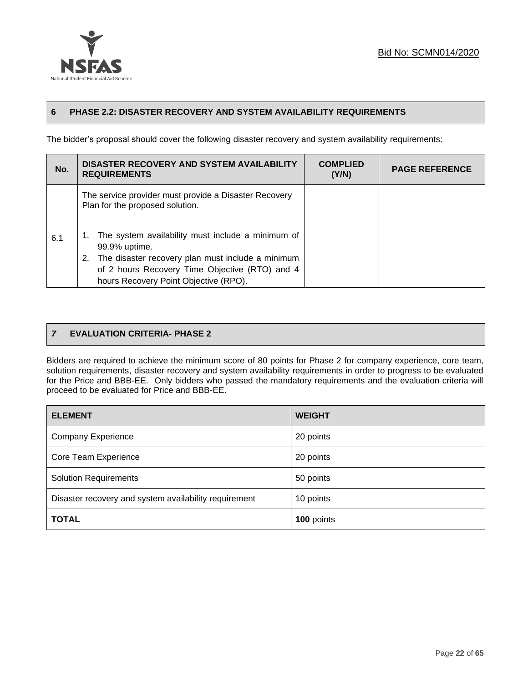



# **6 PHASE 2.2: DISASTER RECOVERY AND SYSTEM AVAILABILITY REQUIREMENTS**

The bidder's proposal should cover the following disaster recovery and system availability requirements:

| No. | DISASTER RECOVERY AND SYSTEM AVAILABILITY<br><b>REQUIREMENTS</b>                                                                                                                                                                                                                                               | <b>COMPLIED</b><br>(Y/N) | <b>PAGE REFERENCE</b> |
|-----|----------------------------------------------------------------------------------------------------------------------------------------------------------------------------------------------------------------------------------------------------------------------------------------------------------------|--------------------------|-----------------------|
| 6.1 | The service provider must provide a Disaster Recovery<br>Plan for the proposed solution.<br>The system availability must include a minimum of<br>99.9% uptime.<br>The disaster recovery plan must include a minimum<br>of 2 hours Recovery Time Objective (RTO) and 4<br>hours Recovery Point Objective (RPO). |                          |                       |

# *7* **EVALUATION CRITERIA- PHASE 2**

Bidders are required to achieve the minimum score of 80 points for Phase 2 for company experience, core team, solution requirements, disaster recovery and system availability requirements in order to progress to be evaluated for the Price and BBB-EE. Only bidders who passed the mandatory requirements and the evaluation criteria will proceed to be evaluated for Price and BBB-EE.

| <b>ELEMENT</b>                                        | <b>WEIGHT</b> |
|-------------------------------------------------------|---------------|
| <b>Company Experience</b>                             | 20 points     |
| Core Team Experience                                  | 20 points     |
| <b>Solution Requirements</b>                          | 50 points     |
| Disaster recovery and system availability requirement | 10 points     |
| <b>TOTAL</b>                                          | 100 points    |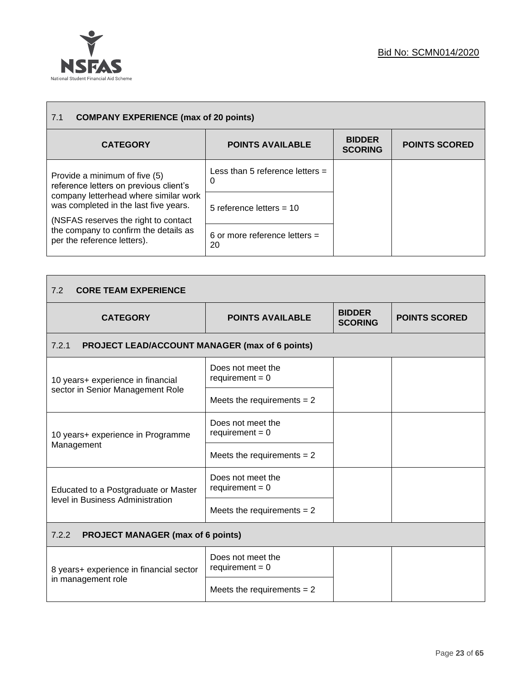

| <b>COMPANY EXPERIENCE (max of 20 points)</b><br>7.1                                                                     |                                        |                                 |                      |
|-------------------------------------------------------------------------------------------------------------------------|----------------------------------------|---------------------------------|----------------------|
| <b>CATEGORY</b>                                                                                                         | <b>POINTS AVAILABLE</b>                | <b>BIDDER</b><br><b>SCORING</b> | <b>POINTS SCORED</b> |
| Provide a minimum of five (5)<br>reference letters on previous client's                                                 | Less than 5 reference letters $=$<br>0 |                                 |                      |
| company letterhead where similar work<br>was completed in the last five years.<br>(NSFAS reserves the right to contact) | 5 reference letters = $10$             |                                 |                      |
| the company to confirm the details as<br>per the reference letters).                                                    | 6 or more reference letters $=$<br>20  |                                 |                      |

| 7.2<br><b>CORE TEAM EXPERIENCE</b>                             |                                        |                                 |                      |
|----------------------------------------------------------------|----------------------------------------|---------------------------------|----------------------|
| <b>CATEGORY</b>                                                | <b>POINTS AVAILABLE</b>                | <b>BIDDER</b><br><b>SCORING</b> | <b>POINTS SCORED</b> |
| 7.2.1<br><b>PROJECT LEAD/ACCOUNT MANAGER (max of 6 points)</b> |                                        |                                 |                      |
| 10 years+ experience in financial                              | Does not meet the<br>requirement = $0$ |                                 |                      |
| sector in Senior Management Role                               | Meets the requirements $= 2$           |                                 |                      |
| 10 years+ experience in Programme                              | Does not meet the<br>requirement = $0$ |                                 |                      |
| Management                                                     | Meets the requirements $= 2$           |                                 |                      |
| Educated to a Postgraduate or Master                           | Does not meet the<br>requirement = $0$ |                                 |                      |
| level in Business Administration                               | Meets the requirements $= 2$           |                                 |                      |
| 7.2.2<br><b>PROJECT MANAGER (max of 6 points)</b>              |                                        |                                 |                      |
| 8 years+ experience in financial sector                        | Does not meet the<br>requirement = $0$ |                                 |                      |
| in management role                                             | Meets the requirements $= 2$           |                                 |                      |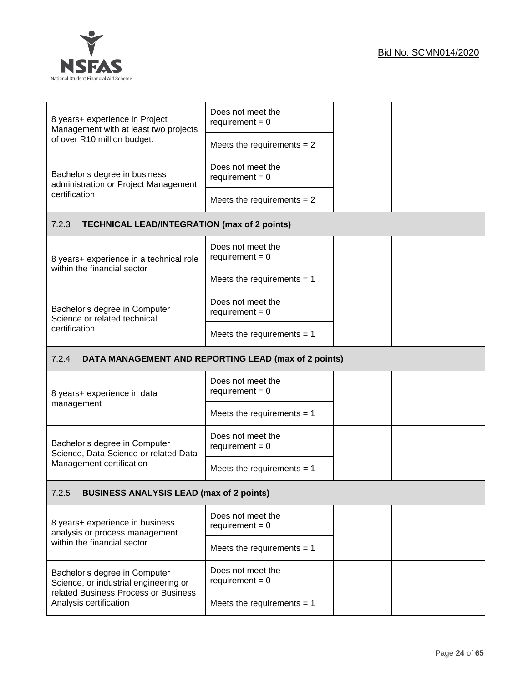



| 8 years+ experience in Project<br>Management with at least two projects                                        | Does not meet the<br>requirement = $0$               |  |
|----------------------------------------------------------------------------------------------------------------|------------------------------------------------------|--|
| of over R10 million budget.                                                                                    | Meets the requirements $= 2$                         |  |
| Bachelor's degree in business<br>administration or Project Management                                          | Does not meet the<br>requirement = $0$               |  |
| certification                                                                                                  | Meets the requirements $= 2$                         |  |
| 7.2.3<br><b>TECHNICAL LEAD/INTEGRATION (max of 2 points)</b>                                                   |                                                      |  |
| 8 years+ experience in a technical role                                                                        | Does not meet the<br>requirement = $0$               |  |
| within the financial sector                                                                                    | Meets the requirements $= 1$                         |  |
| Bachelor's degree in Computer<br>Science or related technical                                                  | Does not meet the<br>requirement = $0$               |  |
| certification                                                                                                  | Meets the requirements $= 1$                         |  |
| 7.2.4                                                                                                          | DATA MANAGEMENT AND REPORTING LEAD (max of 2 points) |  |
| 8 years+ experience in data                                                                                    | Does not meet the<br>requirement = $0$               |  |
| management                                                                                                     | Meets the requirements $= 1$                         |  |
| Bachelor's degree in Computer<br>Science, Data Science or related Data                                         | Does not meet the<br>requirement = $0$               |  |
| Management certification                                                                                       | Meets the requirements $= 1$                         |  |
| <b>BUSINESS ANALYSIS LEAD (max of 2 points)</b><br>7.2.5                                                       |                                                      |  |
| 8 years+ experience in business<br>analysis or process management                                              | Does not meet the<br>requirement = $0$               |  |
| within the financial sector                                                                                    | Meets the requirements $= 1$                         |  |
| Bachelor's degree in Computer<br>Science, or industrial engineering or<br>related Business Process or Business | Does not meet the<br>requirement = $0$               |  |
| Analysis certification                                                                                         | Meets the requirements $= 1$                         |  |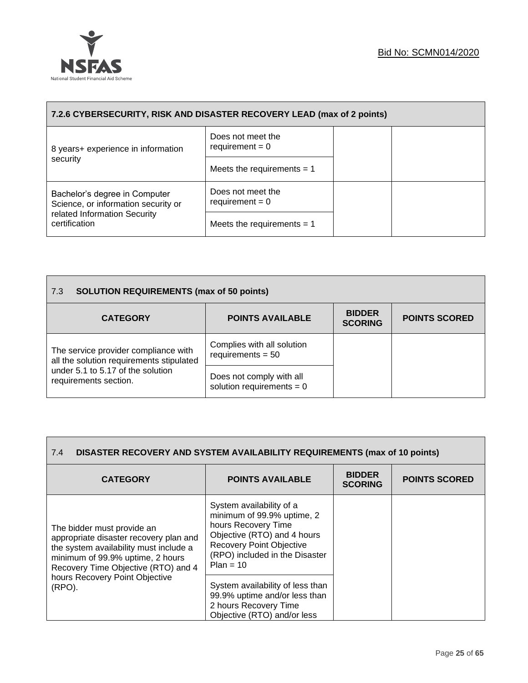

| 7.2.6 CYBERSECURITY, RISK AND DISASTER RECOVERY LEAD (max of 2 points) |                                        |  |  |  |
|------------------------------------------------------------------------|----------------------------------------|--|--|--|
| 8 years+ experience in information                                     | Does not meet the<br>requirement $= 0$ |  |  |  |
| security                                                               | Meets the requirements $= 1$           |  |  |  |
| Bachelor's degree in Computer<br>Science, or information security or   | Does not meet the<br>requirement = $0$ |  |  |  |
| related Information Security<br>certification                          | Meets the requirements $= 1$           |  |  |  |

| <b>SOLUTION REQUIREMENTS (max of 50 points)</b><br>$\overline{7.3}$              |                                                         |                                 |                      |
|----------------------------------------------------------------------------------|---------------------------------------------------------|---------------------------------|----------------------|
| <b>CATEGORY</b>                                                                  | <b>POINTS AVAILABLE</b>                                 | <b>BIDDER</b><br><b>SCORING</b> | <b>POINTS SCORED</b> |
| The service provider compliance with<br>all the solution requirements stipulated | Complies with all solution<br>requirements $= 50$       |                                 |                      |
| under 5.1 to 5.17 of the solution<br>requirements section.                       | Does not comply with all<br>solution requirements = $0$ |                                 |                      |

| <b>DISASTER RECOVERY AND SYSTEM AVAILABILITY REQUIREMENTS (max of 10 points)</b><br>7.4                                                                                                   |                                                                                                                                                                                                  |                                 |                      |
|-------------------------------------------------------------------------------------------------------------------------------------------------------------------------------------------|--------------------------------------------------------------------------------------------------------------------------------------------------------------------------------------------------|---------------------------------|----------------------|
| <b>CATEGORY</b>                                                                                                                                                                           | <b>POINTS AVAILABLE</b>                                                                                                                                                                          | <b>BIDDER</b><br><b>SCORING</b> | <b>POINTS SCORED</b> |
| The bidder must provide an<br>appropriate disaster recovery plan and<br>the system availability must include a<br>minimum of 99.9% uptime, 2 hours<br>Recovery Time Objective (RTO) and 4 | System availability of a<br>minimum of 99.9% uptime, 2<br>hours Recovery Time<br>Objective (RTO) and 4 hours<br><b>Recovery Point Objective</b><br>(RPO) included in the Disaster<br>$Plan = 10$ |                                 |                      |
| hours Recovery Point Objective<br>(RPO).                                                                                                                                                  | System availability of less than<br>99.9% uptime and/or less than<br>2 hours Recovery Time<br>Objective (RTO) and/or less                                                                        |                                 |                      |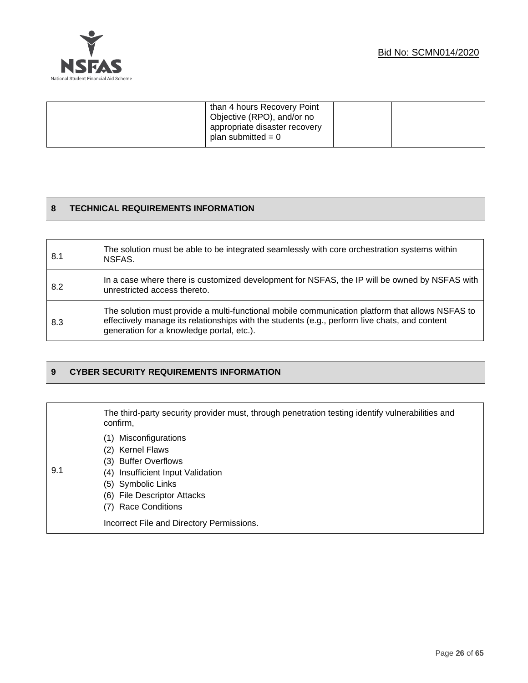

| than 4 hours Recovery Point<br>Objective (RPO), and/or no<br>appropriate disaster recovery<br>plan submitted = $0$ |  |
|--------------------------------------------------------------------------------------------------------------------|--|
|                                                                                                                    |  |

# **8 TECHNICAL REQUIREMENTS INFORMATION**

| 8.1 | The solution must be able to be integrated seamlessly with core or chestration systems within<br>NSFAS.                                                                                                                                       |
|-----|-----------------------------------------------------------------------------------------------------------------------------------------------------------------------------------------------------------------------------------------------|
| 8.2 | In a case where there is customized development for NSFAS, the IP will be owned by NSFAS with<br>unrestricted access thereto.                                                                                                                 |
| 8.3 | The solution must provide a multi-functional mobile communication platform that allows NSFAS to<br>effectively manage its relationships with the students (e.g., perform live chats, and content<br>generation for a knowledge portal, etc.). |

# **9 CYBER SECURITY REQUIREMENTS INFORMATION**

|     | The third-party security provider must, through penetration testing identify vulnerabilities and<br>confirm,                                                                                                                                                              |
|-----|---------------------------------------------------------------------------------------------------------------------------------------------------------------------------------------------------------------------------------------------------------------------------|
| 9.1 | Misconfigurations<br><b>Kernel Flaws</b><br>(2)<br><b>Buffer Overflows</b><br>(3)<br>Insufficient Input Validation<br>(4)<br>Symbolic Links<br>(5)<br><b>File Descriptor Attacks</b><br>(6)<br><b>Race Conditions</b><br>(7)<br>Incorrect File and Directory Permissions. |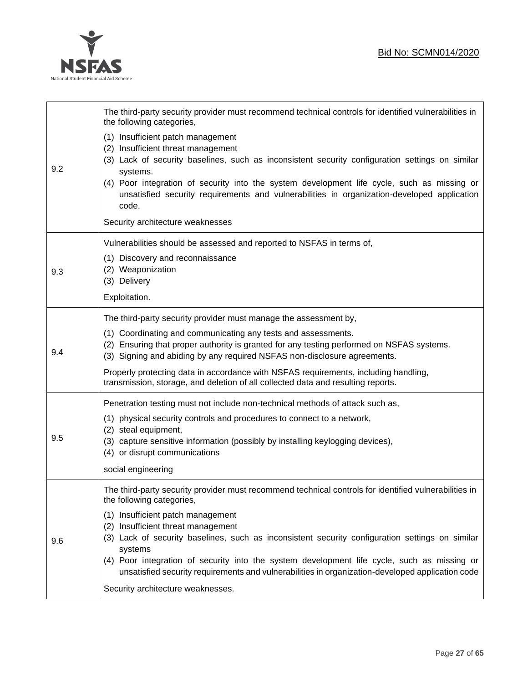

 $\overline{\phantom{a}}$ 

 $\mathsf{r}$ 

|     | The third-party security provider must recommend technical controls for identified vulnerabilities in<br>the following categories,                                                                                                                                                                                                                                                            |
|-----|-----------------------------------------------------------------------------------------------------------------------------------------------------------------------------------------------------------------------------------------------------------------------------------------------------------------------------------------------------------------------------------------------|
| 9.2 | (1) Insufficient patch management<br>(2) Insufficient threat management<br>(3) Lack of security baselines, such as inconsistent security configuration settings on similar<br>systems.<br>(4) Poor integration of security into the system development life cycle, such as missing or<br>unsatisfied security requirements and vulnerabilities in organization-developed application<br>code. |
|     | Security architecture weaknesses                                                                                                                                                                                                                                                                                                                                                              |
|     | Vulnerabilities should be assessed and reported to NSFAS in terms of,                                                                                                                                                                                                                                                                                                                         |
| 9.3 | (1) Discovery and reconnaissance<br>(2) Weaponization<br>(3) Delivery                                                                                                                                                                                                                                                                                                                         |
|     | Exploitation.                                                                                                                                                                                                                                                                                                                                                                                 |
|     | The third-party security provider must manage the assessment by,                                                                                                                                                                                                                                                                                                                              |
| 9.4 | (1) Coordinating and communicating any tests and assessments.<br>(2) Ensuring that proper authority is granted for any testing performed on NSFAS systems.<br>(3) Signing and abiding by any required NSFAS non-disclosure agreements.                                                                                                                                                        |
|     | Properly protecting data in accordance with NSFAS requirements, including handling,<br>transmission, storage, and deletion of all collected data and resulting reports.                                                                                                                                                                                                                       |
|     | Penetration testing must not include non-technical methods of attack such as,                                                                                                                                                                                                                                                                                                                 |
|     | (1) physical security controls and procedures to connect to a network,                                                                                                                                                                                                                                                                                                                        |
| 9.5 | (2) steal equipment,<br>(3) capture sensitive information (possibly by installing keylogging devices),<br>(4) or disrupt communications                                                                                                                                                                                                                                                       |
|     | social engineering                                                                                                                                                                                                                                                                                                                                                                            |
|     | The third-party security provider must recommend technical controls for identified vulnerabilities in<br>the following categories,                                                                                                                                                                                                                                                            |
| 9.6 | (1) Insufficient patch management<br>Insufficient threat management<br>(2)                                                                                                                                                                                                                                                                                                                    |
|     | (3) Lack of security baselines, such as inconsistent security configuration settings on similar                                                                                                                                                                                                                                                                                               |
|     | systems<br>(4) Poor integration of security into the system development life cycle, such as missing or<br>unsatisfied security requirements and vulnerabilities in organization-developed application code                                                                                                                                                                                    |
|     | Security architecture weaknesses.                                                                                                                                                                                                                                                                                                                                                             |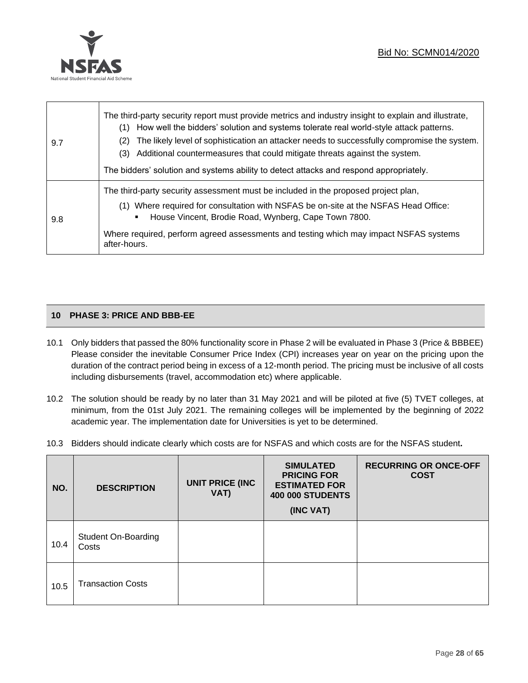

| 9.7 | The third-party security report must provide metrics and industry insight to explain and illustrate,<br>How well the bidders' solution and systems tolerate real world-style attack patterns.<br>(1)<br>The likely level of sophistication an attacker needs to successfully compromise the system.<br>(2)<br>(3) Additional countermeasures that could mitigate threats against the system.<br>The bidders' solution and systems ability to detect attacks and respond appropriately. |  |
|-----|----------------------------------------------------------------------------------------------------------------------------------------------------------------------------------------------------------------------------------------------------------------------------------------------------------------------------------------------------------------------------------------------------------------------------------------------------------------------------------------|--|
| 9.8 | The third-party security assessment must be included in the proposed project plan,<br>(1) Where required for consultation with NSFAS be on-site at the NSFAS Head Office:<br>House Vincent, Brodie Road, Wynberg, Cape Town 7800.<br>٠<br>Where required, perform agreed assessments and testing which may impact NSFAS systems<br>after-hours.                                                                                                                                        |  |

# **10 PHASE 3: PRICE AND BBB-EE**

- 10.1 Only bidders that passed the 80% functionality score in Phase 2 will be evaluated in Phase 3 (Price & BBBEE) Please consider the inevitable Consumer Price Index (CPI) increases year on year on the pricing upon the duration of the contract period being in excess of a 12-month period. The pricing must be inclusive of all costs including disbursements (travel, accommodation etc) where applicable.
- 10.2 The solution should be ready by no later than 31 May 2021 and will be piloted at five (5) TVET colleges, at minimum, from the 01st July 2021. The remaining colleges will be implemented by the beginning of 2022 academic year. The implementation date for Universities is yet to be determined.
- 10.3 Bidders should indicate clearly which costs are for NSFAS and which costs are for the NSFAS student**.**

| NO.  | <b>UNIT PRICE (INC</b><br><b>DESCRIPTION</b><br>VAT) |  | <b>SIMULATED</b><br><b>PRICING FOR</b><br><b>ESTIMATED FOR</b><br><b>400 000 STUDENTS</b><br>(INC VAT) | <b>RECURRING OR ONCE-OFF</b><br><b>COST</b> |
|------|------------------------------------------------------|--|--------------------------------------------------------------------------------------------------------|---------------------------------------------|
| 10.4 | <b>Student On-Boarding</b><br>Costs                  |  |                                                                                                        |                                             |
| 10.5 | <b>Transaction Costs</b>                             |  |                                                                                                        |                                             |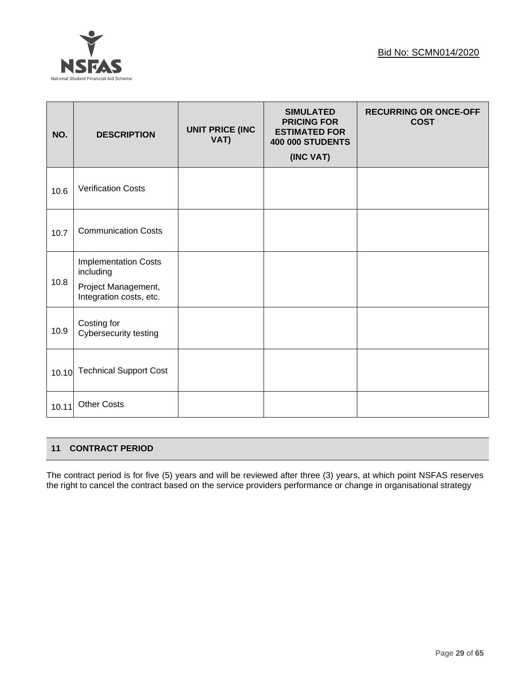

| NO.   | <b>DESCRIPTION</b>                                                                         | <b>UNIT PRICE (INC</b><br>VAT) | <b>SIMULATED</b><br><b>PRICING FOR</b><br><b>ESTIMATED FOR</b><br><b>400 000 STUDENTS</b><br>(INC VAT) | <b>RECURRING OR ONCE-OFF</b><br><b>COST</b> |
|-------|--------------------------------------------------------------------------------------------|--------------------------------|--------------------------------------------------------------------------------------------------------|---------------------------------------------|
| 10.6  | <b>Verification Costs</b>                                                                  |                                |                                                                                                        |                                             |
| 10.7  | <b>Communication Costs</b>                                                                 |                                |                                                                                                        |                                             |
| 10.8  | <b>Implementation Costs</b><br>including<br>Project Management,<br>Integration costs, etc. |                                |                                                                                                        |                                             |
| 10.9  | Costing for<br>Cybersecurity testing                                                       |                                |                                                                                                        |                                             |
| 10.10 | <b>Technical Support Cost</b>                                                              |                                |                                                                                                        |                                             |
| 10.11 | <b>Other Costs</b>                                                                         |                                |                                                                                                        |                                             |

# **11 CONTRACT PERIOD**

The contract period is for five (5) years and will be reviewed after three (3) years, at which point NSFAS reserves the right to cancel the contract based on the service providers performance or change in organisational strategy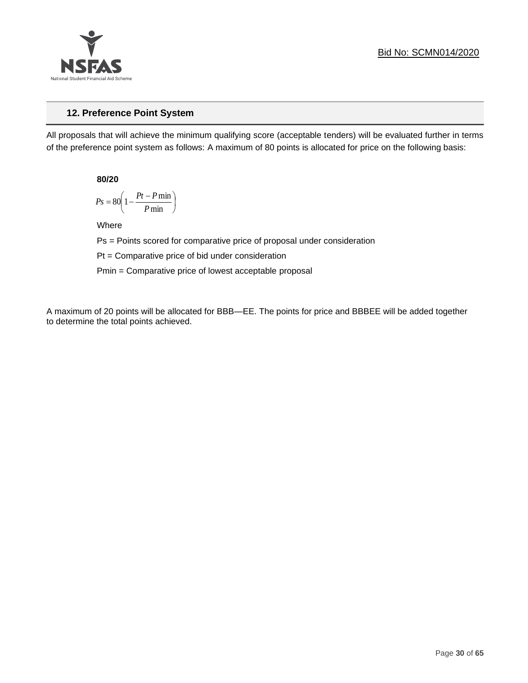

# **12. Preference Point System**

All proposals that will achieve the minimum qualifying score (acceptable tenders) will be evaluated further in terms of the preference point system as follows: A maximum of 80 points is allocated for price on the following basis:

**80/20**

$$
Ps = 80 \left( 1 - \frac{Pt - P \min}{P \min} \right)
$$

Where

Ps = Points scored for comparative price of proposal under consideration

Pt = Comparative price of bid under consideration

Pmin = Comparative price of lowest acceptable proposal

A maximum of 20 points will be allocated for BBB—EE. The points for price and BBBEE will be added together to determine the total points achieved.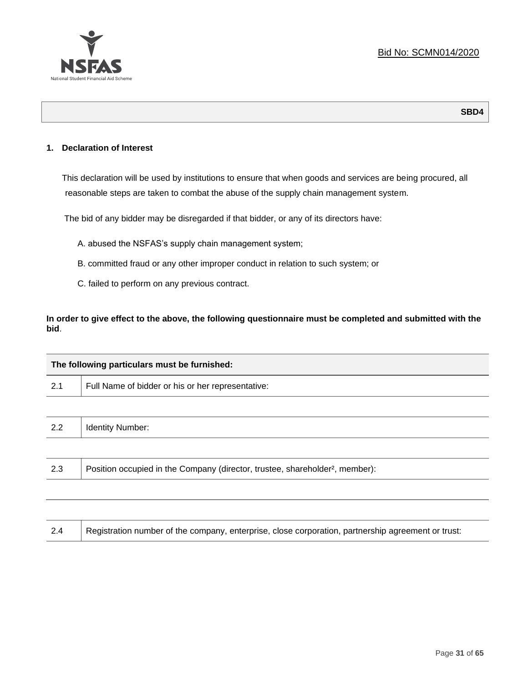

#### **1. Declaration of Interest**

This declaration will be used by institutions to ensure that when goods and services are being procured, all reasonable steps are taken to combat the abuse of the supply chain management system.

The bid of any bidder may be disregarded if that bidder, or any of its directors have:

- A. abused the NSFAS's supply chain management system;
- B. committed fraud or any other improper conduct in relation to such system; or
- C. failed to perform on any previous contract.

**In order to give effect to the above, the following questionnaire must be completed and submitted with the bid**.

| The following particulars must be furnished: |                                                                                          |  |
|----------------------------------------------|------------------------------------------------------------------------------------------|--|
| 2.1                                          | Full Name of bidder or his or her representative:                                        |  |
|                                              |                                                                                          |  |
| 2.2                                          | <b>Identity Number:</b>                                                                  |  |
|                                              |                                                                                          |  |
| 2.3                                          | Position occupied in the Company (director, trustee, shareholder <sup>2</sup> , member): |  |
|                                              |                                                                                          |  |

| 2.4 | Registration number of the company, enterprise, close corporation, partnership agreement or trust: |
|-----|----------------------------------------------------------------------------------------------------|
|     |                                                                                                    |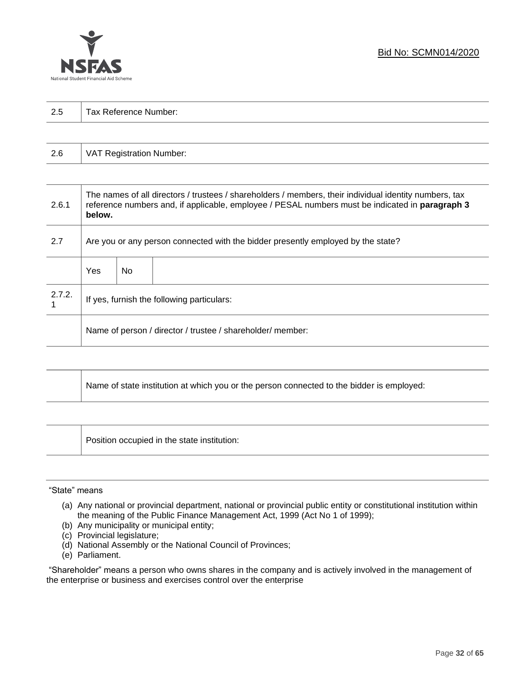

| っょ  |                       |
|-----|-----------------------|
| ن ک | Tax Reference Number: |
|     |                       |

| 2.6 | VAT Registration Number: |
|-----|--------------------------|
|-----|--------------------------|

| 2.6.1  | The names of all directors / trustees / shareholders / members, their individual identity numbers, tax<br>reference numbers and, if applicable, employee / PESAL numbers must be indicated in paragraph 3<br>below. |     |  |
|--------|---------------------------------------------------------------------------------------------------------------------------------------------------------------------------------------------------------------------|-----|--|
| 2.7    | Are you or any person connected with the bidder presently employed by the state?                                                                                                                                    |     |  |
|        | Yes                                                                                                                                                                                                                 | No. |  |
| 2.7.2. | If yes, furnish the following particulars:                                                                                                                                                                          |     |  |
|        | Name of person / director / trustee / shareholder/ member:                                                                                                                                                          |     |  |

| Name of state institution at which you or the person connected to the bidder is employed: |
|-------------------------------------------------------------------------------------------|
|                                                                                           |

Position occupied in the state institution:

#### "State" means

┱

- (a) Any national or provincial department, national or provincial public entity or constitutional institution within the meaning of the Public Finance Management Act, 1999 (Act No 1 of 1999);
- (b) Any municipality or municipal entity;
- (c) Provincial legislature;
- (d) National Assembly or the National Council of Provinces;
- (e) Parliament.

"Shareholder" means a person who owns shares in the company and is actively involved in the management of the enterprise or business and exercises control over the enterprise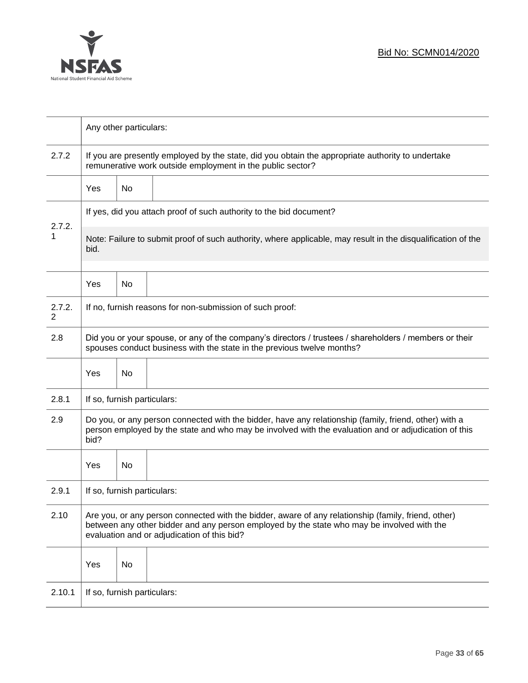

|                          | Any other particulars:                                                                                                                                                                                                                           |    |                                                                                                              |  |
|--------------------------|--------------------------------------------------------------------------------------------------------------------------------------------------------------------------------------------------------------------------------------------------|----|--------------------------------------------------------------------------------------------------------------|--|
| 2.7.2                    | If you are presently employed by the state, did you obtain the appropriate authority to undertake<br>remunerative work outside employment in the public sector?                                                                                  |    |                                                                                                              |  |
|                          | Yes                                                                                                                                                                                                                                              | No |                                                                                                              |  |
|                          |                                                                                                                                                                                                                                                  |    | If yes, did you attach proof of such authority to the bid document?                                          |  |
| 2.7.2.<br>1              | bid.                                                                                                                                                                                                                                             |    | Note: Failure to submit proof of such authority, where applicable, may result in the disqualification of the |  |
|                          | Yes                                                                                                                                                                                                                                              | No |                                                                                                              |  |
| 2.7.2.<br>$\overline{2}$ |                                                                                                                                                                                                                                                  |    | If no, furnish reasons for non-submission of such proof:                                                     |  |
| 2.8                      | Did you or your spouse, or any of the company's directors / trustees / shareholders / members or their<br>spouses conduct business with the state in the previous twelve months?                                                                 |    |                                                                                                              |  |
|                          | Yes                                                                                                                                                                                                                                              | No |                                                                                                              |  |
| 2.8.1                    | If so, furnish particulars:                                                                                                                                                                                                                      |    |                                                                                                              |  |
| 2.9                      | Do you, or any person connected with the bidder, have any relationship (family, friend, other) with a<br>person employed by the state and who may be involved with the evaluation and or adjudication of this<br>bid?                            |    |                                                                                                              |  |
|                          | Yes                                                                                                                                                                                                                                              | No |                                                                                                              |  |
| 2.9.1                    | If so, furnish particulars:                                                                                                                                                                                                                      |    |                                                                                                              |  |
| 2.10                     | Are you, or any person connected with the bidder, aware of any relationship (family, friend, other)<br>between any other bidder and any person employed by the state who may be involved with the<br>evaluation and or adjudication of this bid? |    |                                                                                                              |  |
|                          | Yes                                                                                                                                                                                                                                              | No |                                                                                                              |  |
| 2.10.1                   | If so, furnish particulars:                                                                                                                                                                                                                      |    |                                                                                                              |  |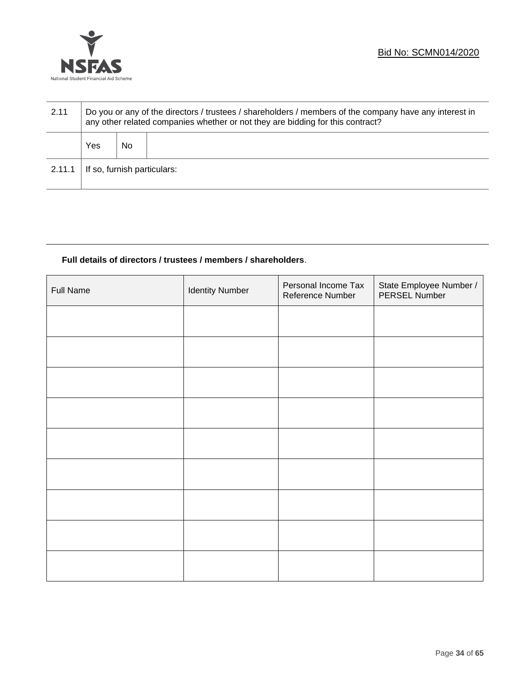

| 2.11   | Do you or any of the directors / trustees / shareholders / members of the company have any interest in<br>any other related companies whether or not they are bidding for this contract? |    |  |
|--------|------------------------------------------------------------------------------------------------------------------------------------------------------------------------------------------|----|--|
|        | Yes                                                                                                                                                                                      | No |  |
| 2.11.1 | If so, furnish particulars:                                                                                                                                                              |    |  |

# **Full details of directors / trustees / members / shareholders**.

| <b>Full Name</b> | <b>Identity Number</b> | Personal Income Tax<br>Reference Number | State Employee Number /<br>PERSEL Number |
|------------------|------------------------|-----------------------------------------|------------------------------------------|
|                  |                        |                                         |                                          |
|                  |                        |                                         |                                          |
|                  |                        |                                         |                                          |
|                  |                        |                                         |                                          |
|                  |                        |                                         |                                          |
|                  |                        |                                         |                                          |
|                  |                        |                                         |                                          |
|                  |                        |                                         |                                          |
|                  |                        |                                         |                                          |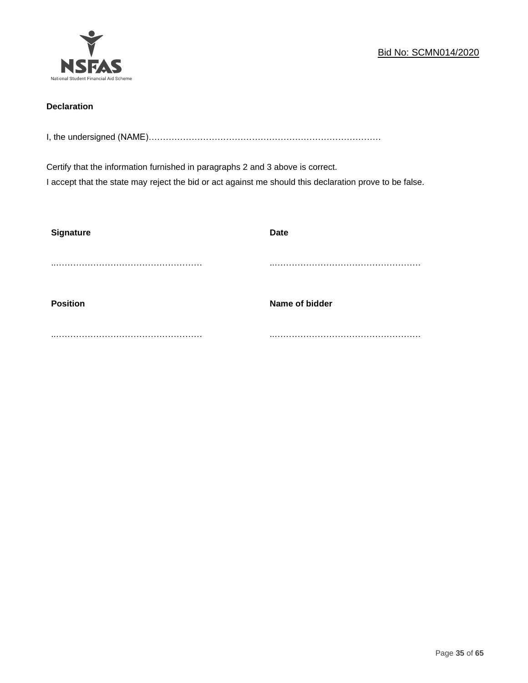

# **Declaration**

I, the undersigned (NAME)………………………………………………………………………

Certify that the information furnished in paragraphs 2 and 3 above is correct. I accept that the state may reject the bid or act against me should this declaration prove to be false.

| <b>Signature</b> | <b>Date</b>    |
|------------------|----------------|
|                  |                |
| <b>Position</b>  | Name of bidder |
|                  |                |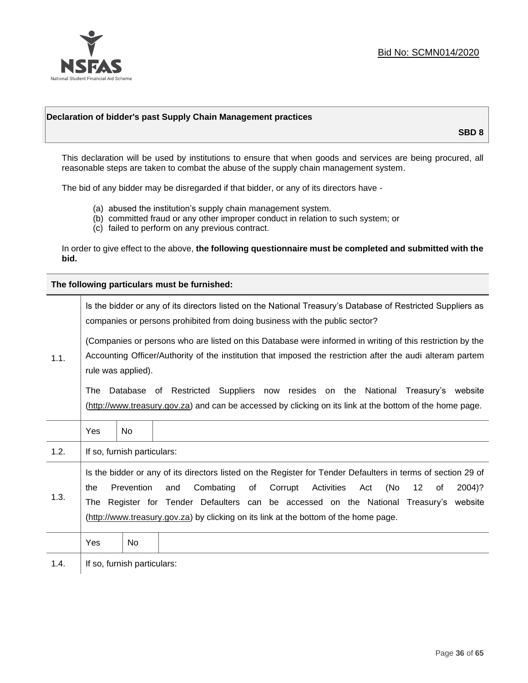

#### **Declaration of bidder's past Supply Chain Management practices**

**SBD 8**

This declaration will be used by institutions to ensure that when goods and services are being procured, all reasonable steps are taken to combat the abuse of the supply chain management system.

The bid of any bidder may be disregarded if that bidder, or any of its directors have -

- (a) abused the institution's supply chain management system.
- (b) committed fraud or any other improper conduct in relation to such system; or
- (c) failed to perform on any previous contract.

In order to give effect to the above, **the following questionnaire must be completed and submitted with the bid.**

**The following particulars must be furnished:**

|      | Is the bidder or any of its directors listed on the National Treasury's Database of Restricted Suppliers as<br>companies or persons prohibited from doing business with the public sector?                                                                                                                                                                                                                   |                             |                                                                                                                                                                                             |  |  |
|------|--------------------------------------------------------------------------------------------------------------------------------------------------------------------------------------------------------------------------------------------------------------------------------------------------------------------------------------------------------------------------------------------------------------|-----------------------------|---------------------------------------------------------------------------------------------------------------------------------------------------------------------------------------------|--|--|
| 1.1. | (Companies or persons who are listed on this Database were informed in writing of this restriction by the<br>Accounting Officer/Authority of the institution that imposed the restriction after the audi alteram partem<br>rule was applied).                                                                                                                                                                |                             |                                                                                                                                                                                             |  |  |
|      | The                                                                                                                                                                                                                                                                                                                                                                                                          |                             | Database of Restricted Suppliers now resides on the National Treasury's website<br>(http://www.treasury.gov.za) and can be accessed by clicking on its link at the bottom of the home page. |  |  |
|      | Yes                                                                                                                                                                                                                                                                                                                                                                                                          | <b>No</b>                   |                                                                                                                                                                                             |  |  |
| 1.2. |                                                                                                                                                                                                                                                                                                                                                                                                              | If so, furnish particulars: |                                                                                                                                                                                             |  |  |
| 1.3. | Is the bidder or any of its directors listed on the Register for Tender Defaulters in terms of section 29 of<br>Prevention<br>Combating<br>(No<br>of<br>Corrupt<br>Activities<br>12<br>2004)?<br>the<br>and<br>Act<br>οf<br>Register for Tender Defaulters can be accessed on the National Treasury's website<br>The<br>(http://www.treasury.gov.za) by clicking on its link at the bottom of the home page. |                             |                                                                                                                                                                                             |  |  |
|      | Yes                                                                                                                                                                                                                                                                                                                                                                                                          | No                          |                                                                                                                                                                                             |  |  |
| 1.4. |                                                                                                                                                                                                                                                                                                                                                                                                              | If so, furnish particulars: |                                                                                                                                                                                             |  |  |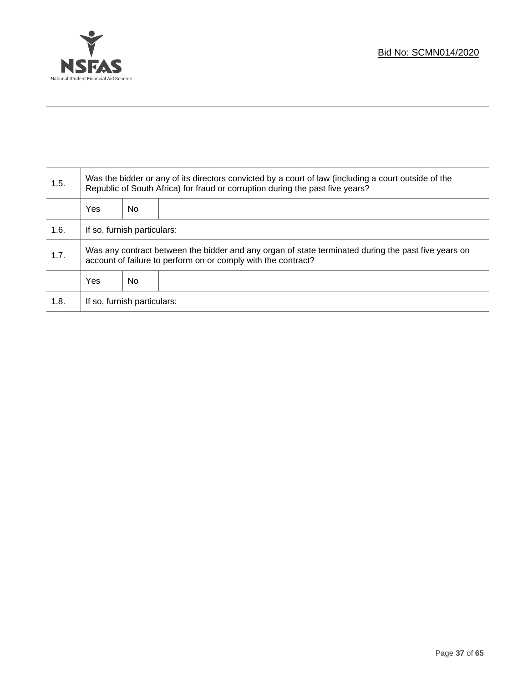

Τ

| 1.5. | Was the bidder or any of its directors convicted by a court of law (including a court outside of the<br>Republic of South Africa) for fraud or corruption during the past five years? |    |  |
|------|---------------------------------------------------------------------------------------------------------------------------------------------------------------------------------------|----|--|
|      | Yes                                                                                                                                                                                   | No |  |
| 1.6. | If so, furnish particulars:                                                                                                                                                           |    |  |
| 1.7. | Was any contract between the bidder and any organ of state terminated during the past five years on<br>account of failure to perform on or comply with the contract?                  |    |  |
|      | Yes                                                                                                                                                                                   | No |  |
| 1.8. | If so, furnish particulars:                                                                                                                                                           |    |  |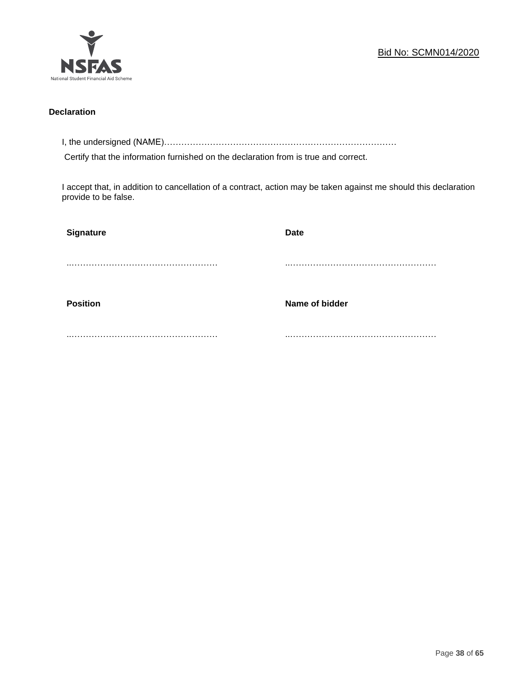

#### **Declaration**

I, the undersigned (NAME)………………………………………………………………………

Certify that the information furnished on the declaration from is true and correct.

I accept that, in addition to cancellation of a contract, action may be taken against me should this declaration provide to be false.

| Signature       | <b>Date</b>    |
|-----------------|----------------|
|                 |                |
|                 |                |
| <b>Position</b> | Name of bidder |
|                 |                |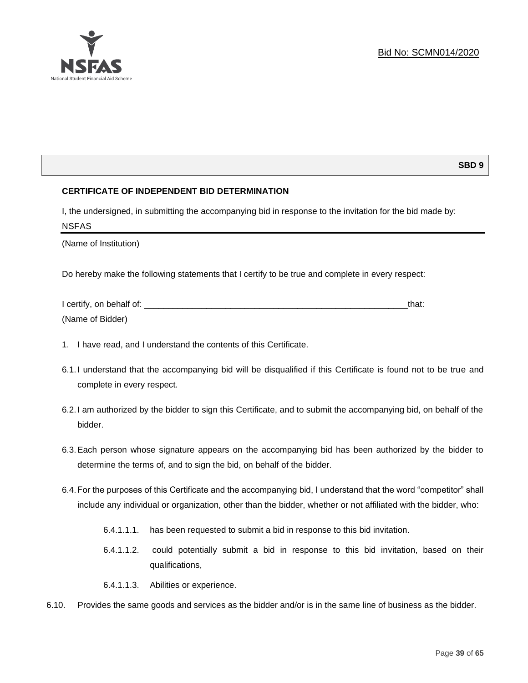

# **SBD 9**

# **CERTIFICATE OF INDEPENDENT BID DETERMINATION**

I, the undersigned, in submitting the accompanying bid in response to the invitation for the bid made by: NSFAS

(Name of Institution)

Do hereby make the following statements that I certify to be true and complete in every respect:

| I certify, on behalf of: |  |
|--------------------------|--|
| (Name of Bidder)         |  |

- 1. I have read, and I understand the contents of this Certificate.
- 6.1.I understand that the accompanying bid will be disqualified if this Certificate is found not to be true and complete in every respect.
- 6.2.I am authorized by the bidder to sign this Certificate, and to submit the accompanying bid, on behalf of the bidder.
- 6.3.Each person whose signature appears on the accompanying bid has been authorized by the bidder to determine the terms of, and to sign the bid, on behalf of the bidder.
- 6.4.For the purposes of this Certificate and the accompanying bid, I understand that the word "competitor" shall include any individual or organization, other than the bidder, whether or not affiliated with the bidder, who:
	- 6.4.1.1.1. has been requested to submit a bid in response to this bid invitation.
	- 6.4.1.1.2. could potentially submit a bid in response to this bid invitation, based on their qualifications,
	- 6.4.1.1.3. Abilities or experience.
- 6.10. Provides the same goods and services as the bidder and/or is in the same line of business as the bidder.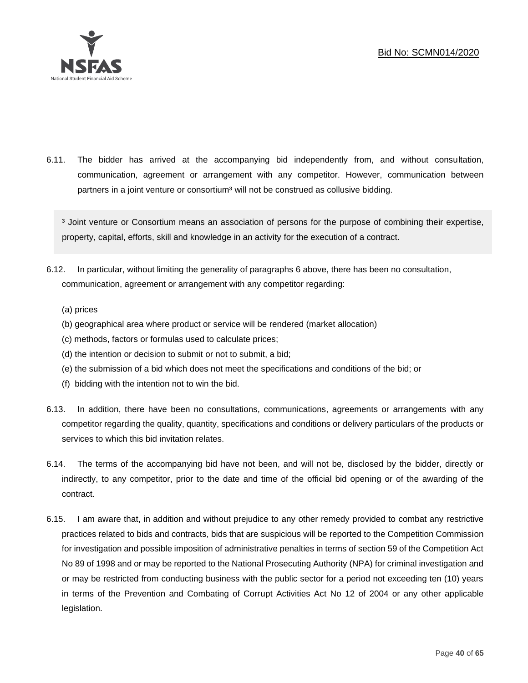

6.11. The bidder has arrived at the accompanying bid independently from, and without consultation, communication, agreement or arrangement with any competitor. However, communication between partners in a joint venture or consortium<sup>3</sup> will not be construed as collusive bidding.

<sup>3</sup> Joint venture or Consortium means an association of persons for the purpose of combining their expertise, property, capital, efforts, skill and knowledge in an activity for the execution of a contract.

- 6.12. In particular, without limiting the generality of paragraphs 6 above, there has been no consultation, communication, agreement or arrangement with any competitor regarding:
	- (a) prices
	- (b) geographical area where product or service will be rendered (market allocation)
	- (c) methods, factors or formulas used to calculate prices;
	- (d) the intention or decision to submit or not to submit, a bid;
	- (e) the submission of a bid which does not meet the specifications and conditions of the bid; or
	- (f) bidding with the intention not to win the bid.
- 6.13. In addition, there have been no consultations, communications, agreements or arrangements with any competitor regarding the quality, quantity, specifications and conditions or delivery particulars of the products or services to which this bid invitation relates.
- 6.14. The terms of the accompanying bid have not been, and will not be, disclosed by the bidder, directly or indirectly, to any competitor, prior to the date and time of the official bid opening or of the awarding of the contract.
- 6.15. I am aware that, in addition and without prejudice to any other remedy provided to combat any restrictive practices related to bids and contracts, bids that are suspicious will be reported to the Competition Commission for investigation and possible imposition of administrative penalties in terms of section 59 of the Competition Act No 89 of 1998 and or may be reported to the National Prosecuting Authority (NPA) for criminal investigation and or may be restricted from conducting business with the public sector for a period not exceeding ten (10) years in terms of the Prevention and Combating of Corrupt Activities Act No 12 of 2004 or any other applicable legislation.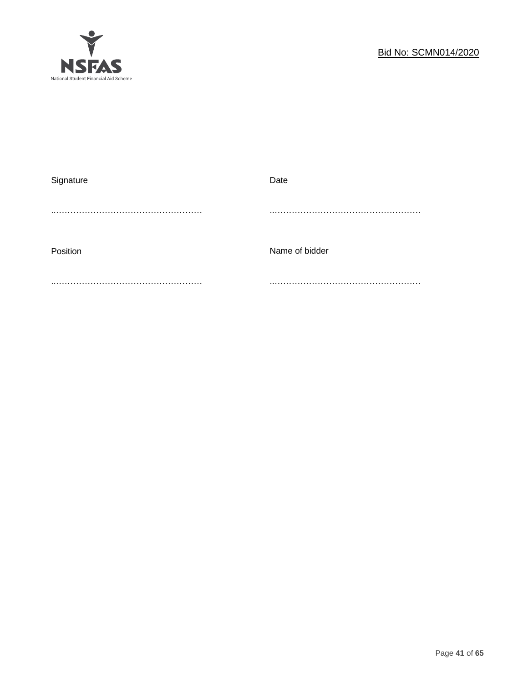

| Signature | Date           |
|-----------|----------------|
|           |                |
|           |                |
|           |                |
| Position  | Name of bidder |
|           |                |
|           |                |
|           |                |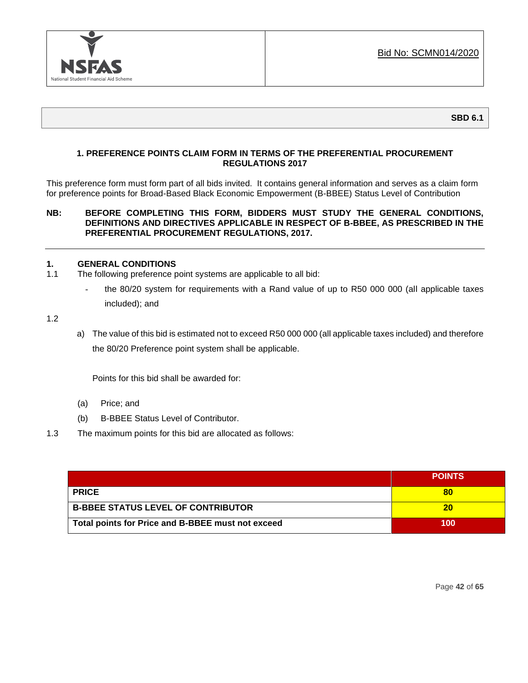

# **1. PREFERENCE POINTS CLAIM FORM IN TERMS OF THE PREFERENTIAL PROCUREMENT REGULATIONS 2017**

This preference form must form part of all bids invited. It contains general information and serves as a claim form for preference points for Broad-Based Black Economic Empowerment (B-BBEE) Status Level of Contribution

#### **NB: BEFORE COMPLETING THIS FORM, BIDDERS MUST STUDY THE GENERAL CONDITIONS, DEFINITIONS AND DIRECTIVES APPLICABLE IN RESPECT OF B-BBEE, AS PRESCRIBED IN THE PREFERENTIAL PROCUREMENT REGULATIONS, 2017.**

#### **1. GENERAL CONDITIONS**

- 1.1 The following preference point systems are applicable to all bid:
	- the 80/20 system for requirements with a Rand value of up to R50 000 000 (all applicable taxes included); and

1.2

a) The value of this bid is estimated not to exceed R50 000 000 (all applicable taxes included) and therefore the 80/20 Preference point system shall be applicable.

Points for this bid shall be awarded for:

- (a) Price; and
- (b) B-BBEE Status Level of Contributor.
- 1.3 The maximum points for this bid are allocated as follows:

|                                                   | <b>POINTS</b> |
|---------------------------------------------------|---------------|
| <b>PRICE</b>                                      | 80            |
| <b>B-BBEE STATUS LEVEL OF CONTRIBUTOR</b>         | 20            |
| Total points for Price and B-BBEE must not exceed | 100           |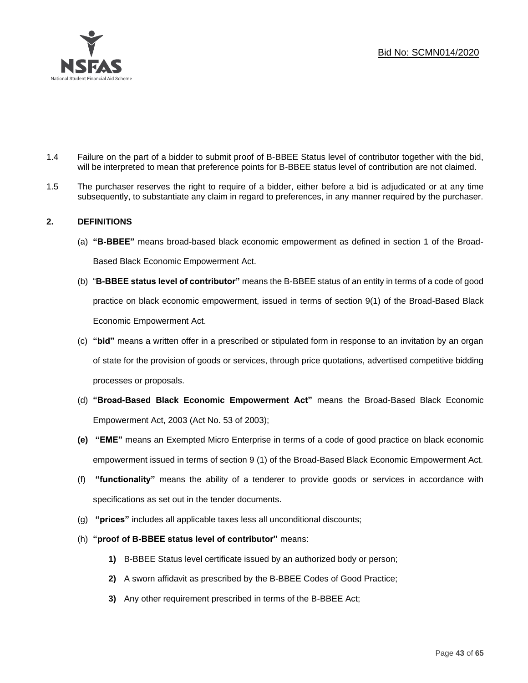

- 1.4 Failure on the part of a bidder to submit proof of B-BBEE Status level of contributor together with the bid, will be interpreted to mean that preference points for B-BBEE status level of contribution are not claimed.
- 1.5 The purchaser reserves the right to require of a bidder, either before a bid is adjudicated or at any time subsequently, to substantiate any claim in regard to preferences, in any manner required by the purchaser.

# **2. DEFINITIONS**

- (a) **"B-BBEE"** means broad-based black economic empowerment as defined in section 1 of the Broad-Based Black Economic Empowerment Act.
- (b) "**B-BBEE status level of contributor"** means the B-BBEE status of an entity in terms of a code of good practice on black economic empowerment, issued in terms of section 9(1) of the Broad-Based Black Economic Empowerment Act.
- (c) **"bid"** means a written offer in a prescribed or stipulated form in response to an invitation by an organ of state for the provision of goods or services, through price quotations, advertised competitive bidding processes or proposals.
- (d) **"Broad-Based Black Economic Empowerment Act"** means the Broad-Based Black Economic Empowerment Act, 2003 (Act No. 53 of 2003);
- **(e) "EME"** means an Exempted Micro Enterprise in terms of a code of good practice on black economic empowerment issued in terms of section 9 (1) of the Broad-Based Black Economic Empowerment Act.
- (f) **"functionality"** means the ability of a tenderer to provide goods or services in accordance with specifications as set out in the tender documents.
- (g) **"prices"** includes all applicable taxes less all unconditional discounts;
- (h) **"proof of B-BBEE status level of contributor"** means:
	- **1)** B-BBEE Status level certificate issued by an authorized body or person;
	- **2)** A sworn affidavit as prescribed by the B-BBEE Codes of Good Practice;
	- **3)** Any other requirement prescribed in terms of the B-BBEE Act;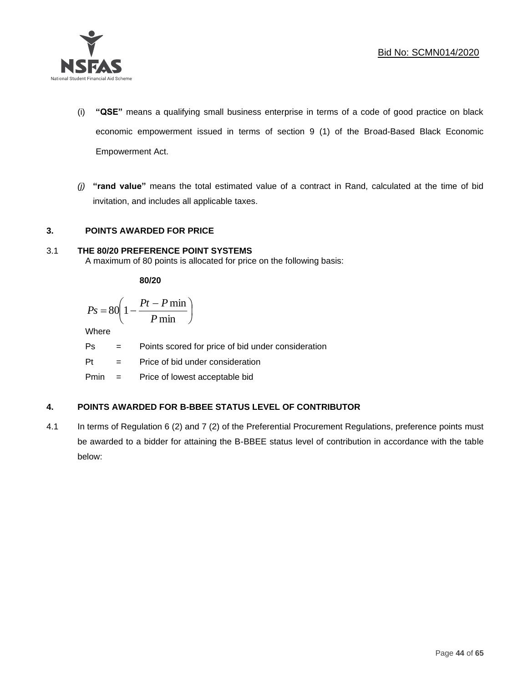

- (i) **"QSE"** means a qualifying small business enterprise in terms of a code of good practice on black economic empowerment issued in terms of section 9 (1) of the Broad-Based Black Economic Empowerment Act.
- *(j)* **"rand value"** means the total estimated value of a contract in Rand, calculated at the time of bid invitation, and includes all applicable taxes.

# **3. POINTS AWARDED FOR PRICE**

# 3.1 **THE 80/20 PREFERENCE POINT SYSTEMS**

A maximum of 80 points is allocated for price on the following basis:

**80/20**

$$
Ps = 80 \left( 1 - \frac{Pt - P \min}{P \min} \right)
$$

Where

Ps = Points scored for price of bid under consideration

l

 $Pt =$  Price of bid under consideration

Pmin = Price of lowest acceptable bid

# **4. POINTS AWARDED FOR B-BBEE STATUS LEVEL OF CONTRIBUTOR**

4.1 In terms of Regulation 6 (2) and 7 (2) of the Preferential Procurement Regulations, preference points must be awarded to a bidder for attaining the B-BBEE status level of contribution in accordance with the table below: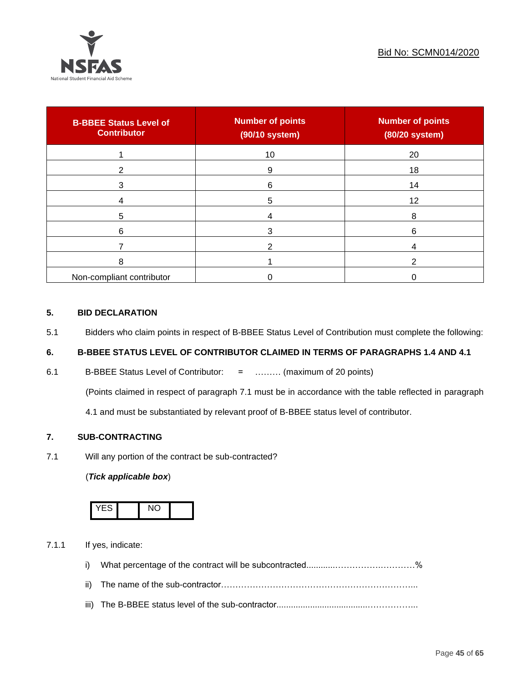

| <b>B-BBEE Status Level of</b><br><b>Contributor</b> | <b>Number of points</b><br>(90/10 system) | <b>Number of points</b><br>(80/20 system) |
|-----------------------------------------------------|-------------------------------------------|-------------------------------------------|
|                                                     | 10                                        | 20                                        |
| າ                                                   | 9                                         | 18                                        |
| 3                                                   | 6                                         | 14                                        |
|                                                     | 5                                         | 12                                        |
| 5                                                   |                                           | 8                                         |
| 6                                                   |                                           | 6                                         |
|                                                     |                                           |                                           |
| 8                                                   |                                           | ົ                                         |
| Non-compliant contributor                           |                                           |                                           |

#### **5. BID DECLARATION**

5.1 Bidders who claim points in respect of B-BBEE Status Level of Contribution must complete the following:

# **6. B-BBEE STATUS LEVEL OF CONTRIBUTOR CLAIMED IN TERMS OF PARAGRAPHS 1.4 AND 4.1**

6.1 B-BBEE Status Level of Contributor: = ……… (maximum of 20 points)

(Points claimed in respect of paragraph 7.1 must be in accordance with the table reflected in paragraph

4.1 and must be substantiated by relevant proof of B-BBEE status level of contributor.

# **7. SUB-CONTRACTING**

7.1 Will any portion of the contract be sub-contracted?

# (*Tick applicable box*)



7.1.1 If yes, indicate:

- i) What percentage of the contract will be subcontracted............…………….…………%
- ii) The name of the sub-contractor…………………………………………………………...
- iii) The B-BBEE status level of the sub-contractor......................................……………...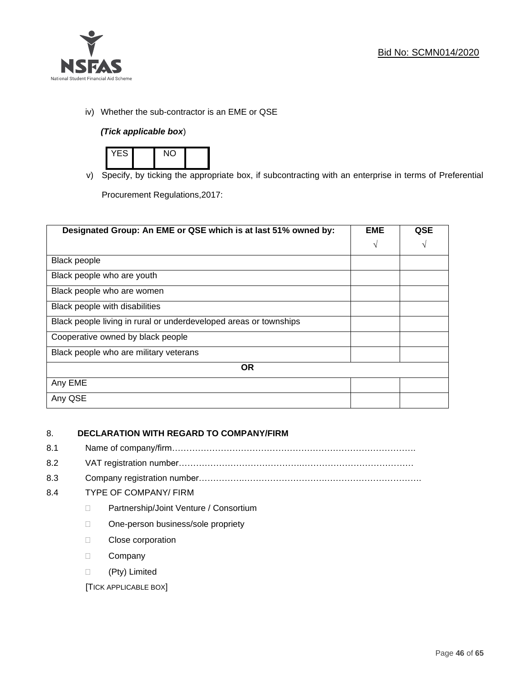

iv) Whether the sub-contractor is an EME or QSE

# *(Tick applicable box*)



v) Specify, by ticking the appropriate box, if subcontracting with an enterprise in terms of Preferential Procurement Regulations,2017:

**Designated Group: An EME or QSE which is at last 51% owned by: EME √ QSE √** Black people Black people who are youth Black people who are women Black people with disabilities Black people living in rural or underdeveloped areas or townships Cooperative owned by black people Black people who are military veterans **OR** Any EME Any QSE

# 8. **DECLARATION WITH REGARD TO COMPANY/FIRM**

- 8.1 Name of company/firm………………………………………………………………………….
- 8.2 VAT registration number…………………………………….…………………………………
- 8.3 Company registration number…………….……………………….…………………………….

# 8.4 TYPE OF COMPANY/ FIRM

- D Partnership/Joint Venture / Consortium
- □ One-person business/sole propriety
- D Close corporation
- D Company
- (Pty) Limited

[TICK APPLICABLE BOX]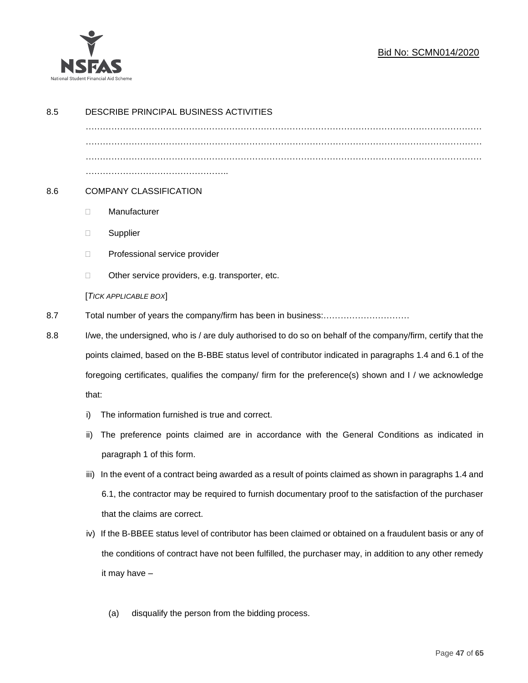

# Bid No: SCMN014/2020

| 8.5 | DESCRIBE PRINCIPAL BUSINESS ACTIVITIES                                                                       |                                                                                                            |  |  |
|-----|--------------------------------------------------------------------------------------------------------------|------------------------------------------------------------------------------------------------------------|--|--|
|     |                                                                                                              |                                                                                                            |  |  |
|     |                                                                                                              |                                                                                                            |  |  |
|     |                                                                                                              |                                                                                                            |  |  |
| 8.6 | <b>COMPANY CLASSIFICATION</b>                                                                                |                                                                                                            |  |  |
|     | $\Box$                                                                                                       | Manufacturer                                                                                               |  |  |
|     | □                                                                                                            | Supplier                                                                                                   |  |  |
|     | $\Box$                                                                                                       | Professional service provider                                                                              |  |  |
|     | $\Box$                                                                                                       | Other service providers, e.g. transporter, etc.                                                            |  |  |
|     | [TICK APPLICABLE BOX]                                                                                        |                                                                                                            |  |  |
| 8.7 |                                                                                                              |                                                                                                            |  |  |
| 8.8 | I/we, the undersigned, who is / are duly authorised to do so on behalf of the company/firm, certify that the |                                                                                                            |  |  |
|     |                                                                                                              | points claimed, based on the B-BBE status level of contributor indicated in paragraphs 1.4 and 6.1 of the  |  |  |
|     |                                                                                                              | foregoing certificates, qualifies the company/ firm for the preference(s) shown and I / we acknowledge     |  |  |
|     | that:                                                                                                        |                                                                                                            |  |  |
|     | i)                                                                                                           | The information furnished is true and correct.                                                             |  |  |
|     | ii)                                                                                                          | The preference points claimed are in accordance with the General Conditions as indicated in                |  |  |
|     |                                                                                                              | paragraph 1 of this form.                                                                                  |  |  |
|     | iii)                                                                                                         | In the event of a contract being awarded as a result of points claimed as shown in paragraphs 1.4 and      |  |  |
|     |                                                                                                              | 6.1, the contractor may be required to furnish documentary proof to the satisfaction of the purchaser      |  |  |
|     |                                                                                                              | that the claims are correct.                                                                               |  |  |
|     |                                                                                                              | iv) If the B-BBEE status level of contributor has been claimed or obtained on a fraudulent basis or any of |  |  |
|     |                                                                                                              | the conditions of contract have not been fulfilled, the purchaser may, in addition to any other remedy     |  |  |
|     |                                                                                                              | it may have -                                                                                              |  |  |
|     |                                                                                                              |                                                                                                            |  |  |
|     |                                                                                                              | disqualify the person from the bidding process.<br>(a)                                                     |  |  |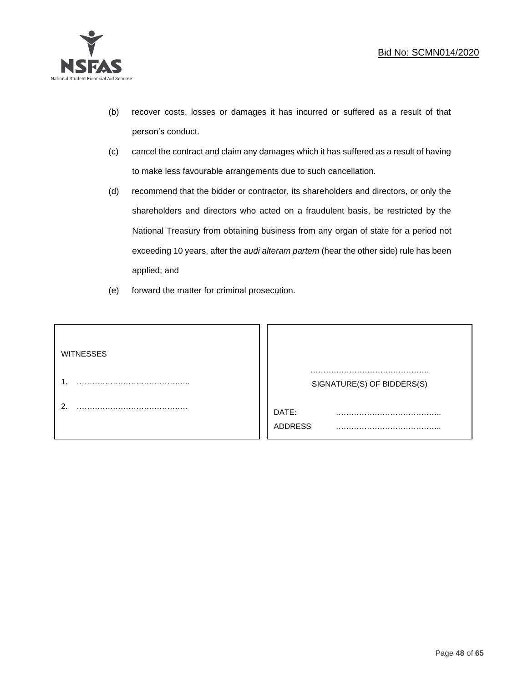

- (b) recover costs, losses or damages it has incurred or suffered as a result of that person's conduct.
- (c) cancel the contract and claim any damages which it has suffered as a result of having to make less favourable arrangements due to such cancellation.
- (d) recommend that the bidder or contractor, its shareholders and directors, or only the shareholders and directors who acted on a fraudulent basis, be restricted by the National Treasury from obtaining business from any organ of state for a period not exceeding 10 years, after the *audi alteram partem* (hear the other side) rule has been applied; and
- (e) forward the matter for criminal prosecution.

| <b>WITNESSES</b> |                            |
|------------------|----------------------------|
|                  | SIGNATURE(S) OF BIDDERS(S) |
|                  | DATE:<br>.<br>ADDRESS      |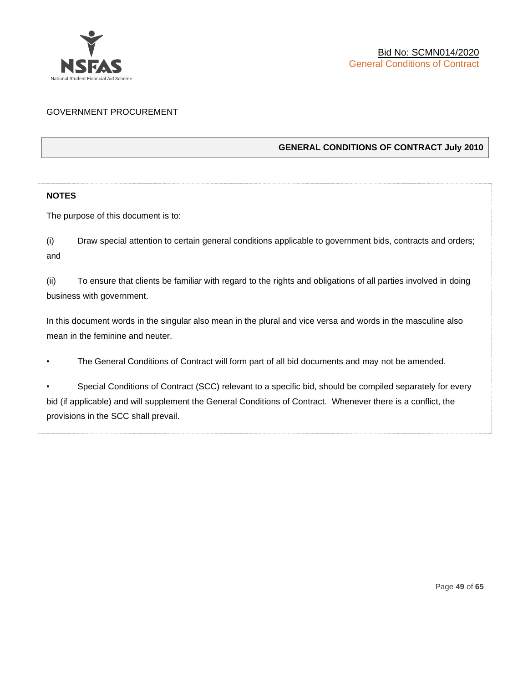

# GOVERNMENT PROCUREMENT

# **GENERAL CONDITIONS OF CONTRACT July 2010**

# **NOTES**

The purpose of this document is to:

(i) Draw special attention to certain general conditions applicable to government bids, contracts and orders; and

(ii) To ensure that clients be familiar with regard to the rights and obligations of all parties involved in doing business with government.

In this document words in the singular also mean in the plural and vice versa and words in the masculine also mean in the feminine and neuter.

• The General Conditions of Contract will form part of all bid documents and may not be amended.

Special Conditions of Contract (SCC) relevant to a specific bid, should be compiled separately for every bid (if applicable) and will supplement the General Conditions of Contract. Whenever there is a conflict, the provisions in the SCC shall prevail.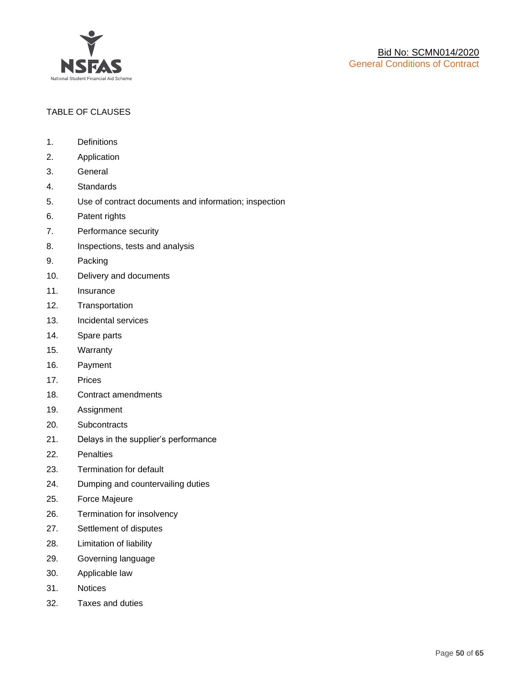

# TABLE OF CLAUSES

- 1. Definitions
- 2. Application
- 3. General
- 4. Standards
- 5. Use of contract documents and information; inspection
- 6. Patent rights
- 7. Performance security
- 8. Inspections, tests and analysis
- 9. Packing
- 10. Delivery and documents
- 11. Insurance
- 12. Transportation
- 13. Incidental services
- 14. Spare parts
- 15. Warranty
- 16. Payment
- 17. Prices
- 18. Contract amendments
- 19. Assignment
- 20. Subcontracts
- 21. Delays in the supplier's performance
- 22. Penalties
- 23. Termination for default
- 24. Dumping and countervailing duties
- 25. Force Majeure
- 26. Termination for insolvency
- 27. Settlement of disputes
- 28. Limitation of liability
- 29. Governing language
- 30. Applicable law
- 31. Notices
- 32. Taxes and duties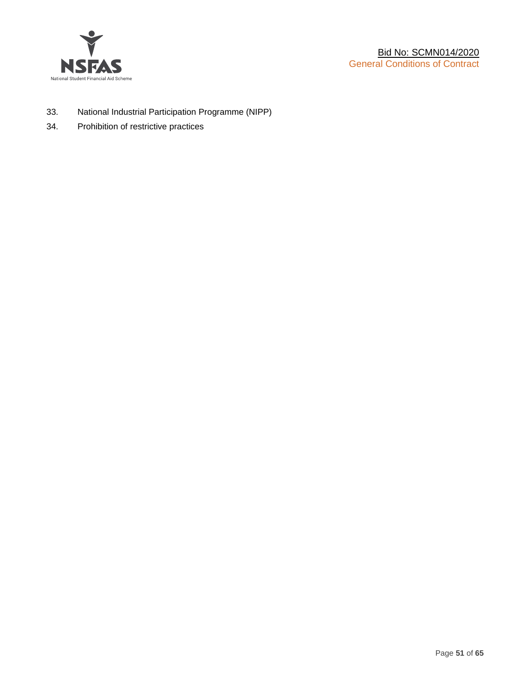

- 33. National Industrial Participation Programme (NIPP)
- 34. Prohibition of restrictive practices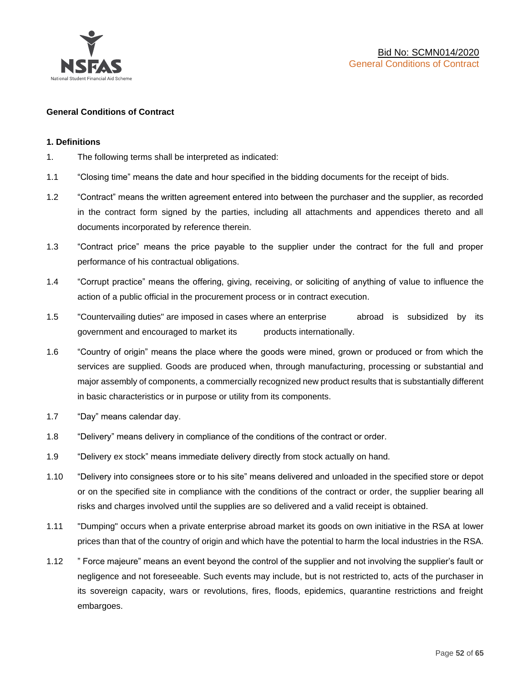

#### **General Conditions of Contract**

#### **1. Definitions**

- 1. The following terms shall be interpreted as indicated:
- 1.1 "Closing time" means the date and hour specified in the bidding documents for the receipt of bids.
- 1.2 "Contract" means the written agreement entered into between the purchaser and the supplier, as recorded in the contract form signed by the parties, including all attachments and appendices thereto and all documents incorporated by reference therein.
- 1.3 "Contract price" means the price payable to the supplier under the contract for the full and proper performance of his contractual obligations.
- 1.4 "Corrupt practice" means the offering, giving, receiving, or soliciting of anything of value to influence the action of a public official in the procurement process or in contract execution.
- 1.5 "Countervailing duties" are imposed in cases where an enterprise abroad is subsidized by its government and encouraged to market its products internationally.
- 1.6 "Country of origin" means the place where the goods were mined, grown or produced or from which the services are supplied. Goods are produced when, through manufacturing, processing or substantial and major assembly of components, a commercially recognized new product results that is substantially different in basic characteristics or in purpose or utility from its components.
- 1.7 "Day" means calendar day.
- 1.8 "Delivery" means delivery in compliance of the conditions of the contract or order.
- 1.9 "Delivery ex stock" means immediate delivery directly from stock actually on hand.
- 1.10 "Delivery into consignees store or to his site" means delivered and unloaded in the specified store or depot or on the specified site in compliance with the conditions of the contract or order, the supplier bearing all risks and charges involved until the supplies are so delivered and a valid receipt is obtained.
- 1.11 "Dumping" occurs when a private enterprise abroad market its goods on own initiative in the RSA at lower prices than that of the country of origin and which have the potential to harm the local industries in the RSA.
- 1.12 " Force majeure" means an event beyond the control of the supplier and not involving the supplier's fault or negligence and not foreseeable. Such events may include, but is not restricted to, acts of the purchaser in its sovereign capacity, wars or revolutions, fires, floods, epidemics, quarantine restrictions and freight embargoes.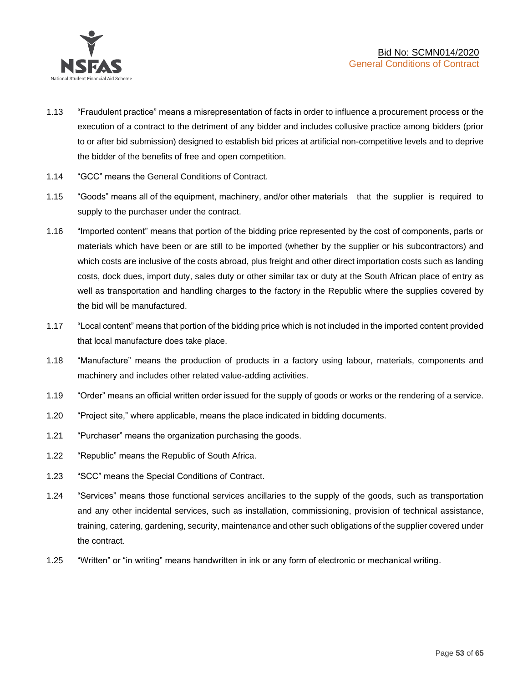

- 1.13 "Fraudulent practice" means a misrepresentation of facts in order to influence a procurement process or the execution of a contract to the detriment of any bidder and includes collusive practice among bidders (prior to or after bid submission) designed to establish bid prices at artificial non-competitive levels and to deprive the bidder of the benefits of free and open competition.
- 1.14 "GCC" means the General Conditions of Contract.
- 1.15 "Goods" means all of the equipment, machinery, and/or other materials that the supplier is required to supply to the purchaser under the contract.
- 1.16 "Imported content" means that portion of the bidding price represented by the cost of components, parts or materials which have been or are still to be imported (whether by the supplier or his subcontractors) and which costs are inclusive of the costs abroad, plus freight and other direct importation costs such as landing costs, dock dues, import duty, sales duty or other similar tax or duty at the South African place of entry as well as transportation and handling charges to the factory in the Republic where the supplies covered by the bid will be manufactured.
- 1.17 "Local content" means that portion of the bidding price which is not included in the imported content provided that local manufacture does take place.
- 1.18 "Manufacture" means the production of products in a factory using labour, materials, components and machinery and includes other related value-adding activities.
- 1.19 "Order" means an official written order issued for the supply of goods or works or the rendering of a service.
- 1.20 "Project site," where applicable, means the place indicated in bidding documents.
- 1.21 "Purchaser" means the organization purchasing the goods.
- 1.22 "Republic" means the Republic of South Africa.
- 1.23 "SCC" means the Special Conditions of Contract.
- 1.24 "Services" means those functional services ancillaries to the supply of the goods, such as transportation and any other incidental services, such as installation, commissioning, provision of technical assistance, training, catering, gardening, security, maintenance and other such obligations of the supplier covered under the contract.
- 1.25 "Written" or "in writing" means handwritten in ink or any form of electronic or mechanical writing.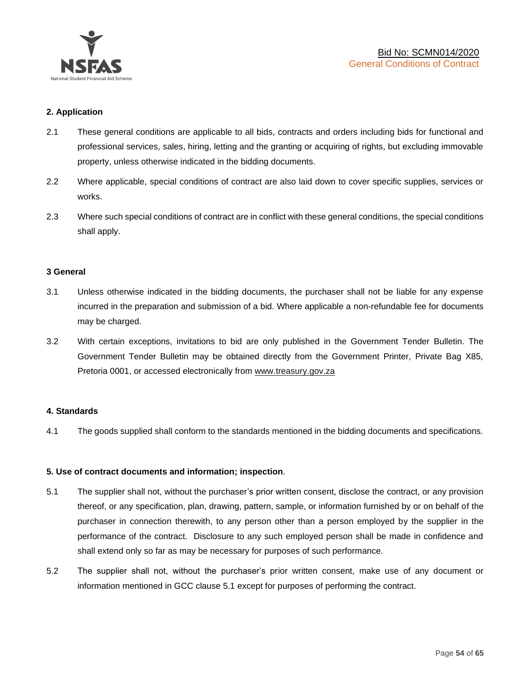

#### **2. Application**

- 2.1 These general conditions are applicable to all bids, contracts and orders including bids for functional and professional services, sales, hiring, letting and the granting or acquiring of rights, but excluding immovable property, unless otherwise indicated in the bidding documents.
- 2.2 Where applicable, special conditions of contract are also laid down to cover specific supplies, services or works.
- 2.3 Where such special conditions of contract are in conflict with these general conditions, the special conditions shall apply.

#### **3 General**

- 3.1 Unless otherwise indicated in the bidding documents, the purchaser shall not be liable for any expense incurred in the preparation and submission of a bid. Where applicable a non-refundable fee for documents may be charged.
- 3.2 With certain exceptions, invitations to bid are only published in the Government Tender Bulletin. The Government Tender Bulletin may be obtained directly from the Government Printer, Private Bag X85, Pretoria 0001, or accessed electronically from [www.treasury.gov.za](http://www.treasury.gov.za/)

#### **4. Standards**

4.1 The goods supplied shall conform to the standards mentioned in the bidding documents and specifications.

#### **5. Use of contract documents and information; inspection**.

- 5.1 The supplier shall not, without the purchaser's prior written consent, disclose the contract, or any provision thereof, or any specification, plan, drawing, pattern, sample, or information furnished by or on behalf of the purchaser in connection therewith, to any person other than a person employed by the supplier in the performance of the contract. Disclosure to any such employed person shall be made in confidence and shall extend only so far as may be necessary for purposes of such performance.
- 5.2 The supplier shall not, without the purchaser's prior written consent, make use of any document or information mentioned in GCC clause 5.1 except for purposes of performing the contract.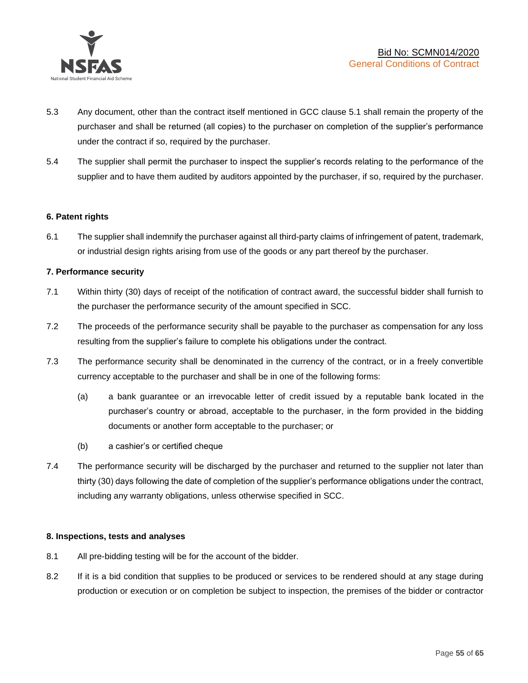

- 5.3 Any document, other than the contract itself mentioned in GCC clause 5.1 shall remain the property of the purchaser and shall be returned (all copies) to the purchaser on completion of the supplier's performance under the contract if so, required by the purchaser.
- 5.4 The supplier shall permit the purchaser to inspect the supplier's records relating to the performance of the supplier and to have them audited by auditors appointed by the purchaser, if so, required by the purchaser.

#### **6. Patent rights**

6.1 The supplier shall indemnify the purchaser against all third-party claims of infringement of patent, trademark, or industrial design rights arising from use of the goods or any part thereof by the purchaser.

#### **7. Performance security**

- 7.1 Within thirty (30) days of receipt of the notification of contract award, the successful bidder shall furnish to the purchaser the performance security of the amount specified in SCC.
- 7.2 The proceeds of the performance security shall be payable to the purchaser as compensation for any loss resulting from the supplier's failure to complete his obligations under the contract.
- 7.3 The performance security shall be denominated in the currency of the contract, or in a freely convertible currency acceptable to the purchaser and shall be in one of the following forms:
	- (a) a bank guarantee or an irrevocable letter of credit issued by a reputable bank located in the purchaser's country or abroad, acceptable to the purchaser, in the form provided in the bidding documents or another form acceptable to the purchaser; or
	- (b) a cashier's or certified cheque
- 7.4 The performance security will be discharged by the purchaser and returned to the supplier not later than thirty (30) days following the date of completion of the supplier's performance obligations under the contract, including any warranty obligations, unless otherwise specified in SCC.

#### **8. Inspections, tests and analyses**

- 8.1 All pre-bidding testing will be for the account of the bidder.
- 8.2 If it is a bid condition that supplies to be produced or services to be rendered should at any stage during production or execution or on completion be subject to inspection, the premises of the bidder or contractor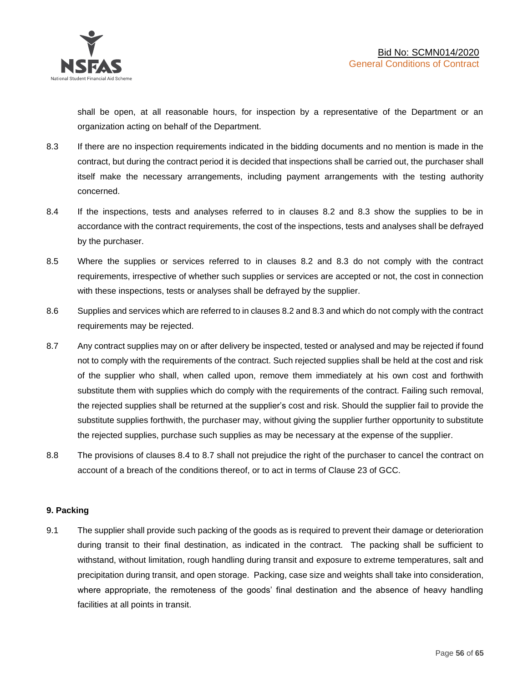shall be open, at all reasonable hours, for inspection by a representative of the Department or an organization acting on behalf of the Department.

- 8.3 If there are no inspection requirements indicated in the bidding documents and no mention is made in the contract, but during the contract period it is decided that inspections shall be carried out, the purchaser shall itself make the necessary arrangements, including payment arrangements with the testing authority concerned.
- 8.4 If the inspections, tests and analyses referred to in clauses 8.2 and 8.3 show the supplies to be in accordance with the contract requirements, the cost of the inspections, tests and analyses shall be defrayed by the purchaser.
- 8.5 Where the supplies or services referred to in clauses 8.2 and 8.3 do not comply with the contract requirements, irrespective of whether such supplies or services are accepted or not, the cost in connection with these inspections, tests or analyses shall be defrayed by the supplier.
- 8.6 Supplies and services which are referred to in clauses 8.2 and 8.3 and which do not comply with the contract requirements may be rejected.
- 8.7 Any contract supplies may on or after delivery be inspected, tested or analysed and may be rejected if found not to comply with the requirements of the contract. Such rejected supplies shall be held at the cost and risk of the supplier who shall, when called upon, remove them immediately at his own cost and forthwith substitute them with supplies which do comply with the requirements of the contract. Failing such removal, the rejected supplies shall be returned at the supplier's cost and risk. Should the supplier fail to provide the substitute supplies forthwith, the purchaser may, without giving the supplier further opportunity to substitute the rejected supplies, purchase such supplies as may be necessary at the expense of the supplier.
- 8.8 The provisions of clauses 8.4 to 8.7 shall not prejudice the right of the purchaser to cancel the contract on account of a breach of the conditions thereof, or to act in terms of Clause 23 of GCC.

# **9. Packing**

9.1 The supplier shall provide such packing of the goods as is required to prevent their damage or deterioration during transit to their final destination, as indicated in the contract. The packing shall be sufficient to withstand, without limitation, rough handling during transit and exposure to extreme temperatures, salt and precipitation during transit, and open storage. Packing, case size and weights shall take into consideration, where appropriate, the remoteness of the goods' final destination and the absence of heavy handling facilities at all points in transit.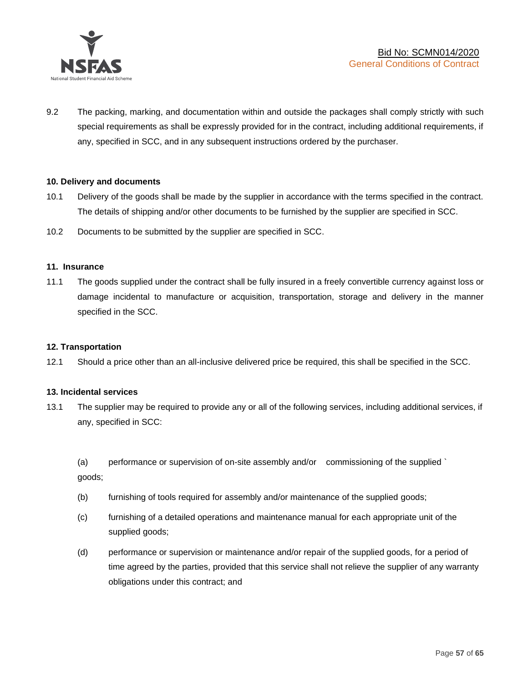

9.2 The packing, marking, and documentation within and outside the packages shall comply strictly with such special requirements as shall be expressly provided for in the contract, including additional requirements, if any, specified in SCC, and in any subsequent instructions ordered by the purchaser.

#### **10. Delivery and documents**

- 10.1 Delivery of the goods shall be made by the supplier in accordance with the terms specified in the contract. The details of shipping and/or other documents to be furnished by the supplier are specified in SCC.
- 10.2 Documents to be submitted by the supplier are specified in SCC.

#### **11. Insurance**

11.1 The goods supplied under the contract shall be fully insured in a freely convertible currency against loss or damage incidental to manufacture or acquisition, transportation, storage and delivery in the manner specified in the SCC.

#### **12. Transportation**

12.1 Should a price other than an all-inclusive delivered price be required, this shall be specified in the SCC.

#### **13. Incidental services**

13.1 The supplier may be required to provide any or all of the following services, including additional services, if any, specified in SCC:

(a) performance or supervision of on-site assembly and/or commissioning of the supplied ` goods;

- (b) furnishing of tools required for assembly and/or maintenance of the supplied goods;
- (c) furnishing of a detailed operations and maintenance manual for each appropriate unit of the supplied goods;
- (d) performance or supervision or maintenance and/or repair of the supplied goods, for a period of time agreed by the parties, provided that this service shall not relieve the supplier of any warranty obligations under this contract; and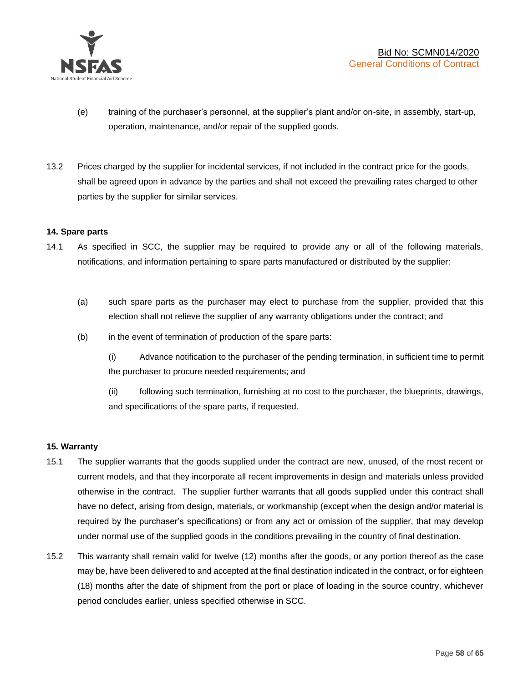

- (e) training of the purchaser's personnel, at the supplier's plant and/or on-site, in assembly, start-up, operation, maintenance, and/or repair of the supplied goods.
- 13.2 Prices charged by the supplier for incidental services, if not included in the contract price for the goods, shall be agreed upon in advance by the parties and shall not exceed the prevailing rates charged to other parties by the supplier for similar services.

#### **14. Spare parts**

- 14.1 As specified in SCC, the supplier may be required to provide any or all of the following materials, notifications, and information pertaining to spare parts manufactured or distributed by the supplier:
	- (a) such spare parts as the purchaser may elect to purchase from the supplier, provided that this election shall not relieve the supplier of any warranty obligations under the contract; and
	- (b) in the event of termination of production of the spare parts:

(i) Advance notification to the purchaser of the pending termination, in sufficient time to permit the purchaser to procure needed requirements; and

(ii) following such termination, furnishing at no cost to the purchaser, the blueprints, drawings, and specifications of the spare parts, if requested.

#### **15. Warranty**

- 15.1 The supplier warrants that the goods supplied under the contract are new, unused, of the most recent or current models, and that they incorporate all recent improvements in design and materials unless provided otherwise in the contract. The supplier further warrants that all goods supplied under this contract shall have no defect, arising from design, materials, or workmanship (except when the design and/or material is required by the purchaser's specifications) or from any act or omission of the supplier, that may develop under normal use of the supplied goods in the conditions prevailing in the country of final destination.
- 15.2 This warranty shall remain valid for twelve (12) months after the goods, or any portion thereof as the case may be, have been delivered to and accepted at the final destination indicated in the contract, or for eighteen (18) months after the date of shipment from the port or place of loading in the source country, whichever period concludes earlier, unless specified otherwise in SCC.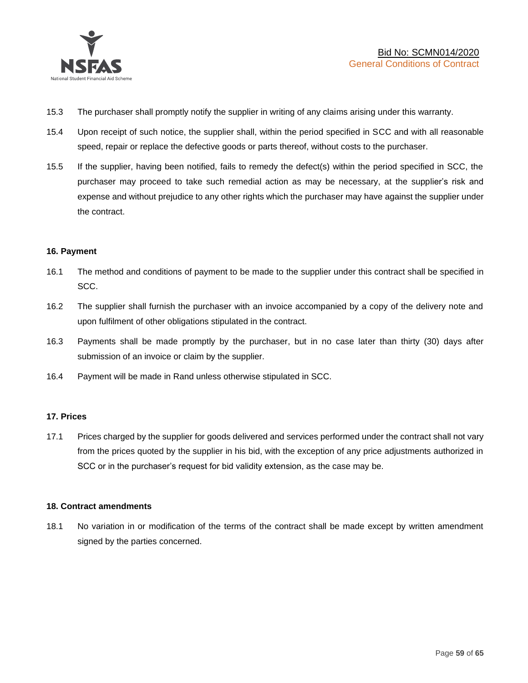

- 15.3 The purchaser shall promptly notify the supplier in writing of any claims arising under this warranty.
- 15.4 Upon receipt of such notice, the supplier shall, within the period specified in SCC and with all reasonable speed, repair or replace the defective goods or parts thereof, without costs to the purchaser.
- 15.5 If the supplier, having been notified, fails to remedy the defect(s) within the period specified in SCC, the purchaser may proceed to take such remedial action as may be necessary, at the supplier's risk and expense and without prejudice to any other rights which the purchaser may have against the supplier under the contract.

#### **16. Payment**

- 16.1 The method and conditions of payment to be made to the supplier under this contract shall be specified in SCC.
- 16.2 The supplier shall furnish the purchaser with an invoice accompanied by a copy of the delivery note and upon fulfilment of other obligations stipulated in the contract.
- 16.3 Payments shall be made promptly by the purchaser, but in no case later than thirty (30) days after submission of an invoice or claim by the supplier.
- 16.4 Payment will be made in Rand unless otherwise stipulated in SCC.

#### **17. Prices**

17.1 Prices charged by the supplier for goods delivered and services performed under the contract shall not vary from the prices quoted by the supplier in his bid, with the exception of any price adjustments authorized in SCC or in the purchaser's request for bid validity extension, as the case may be.

#### **18. Contract amendments**

18.1 No variation in or modification of the terms of the contract shall be made except by written amendment signed by the parties concerned.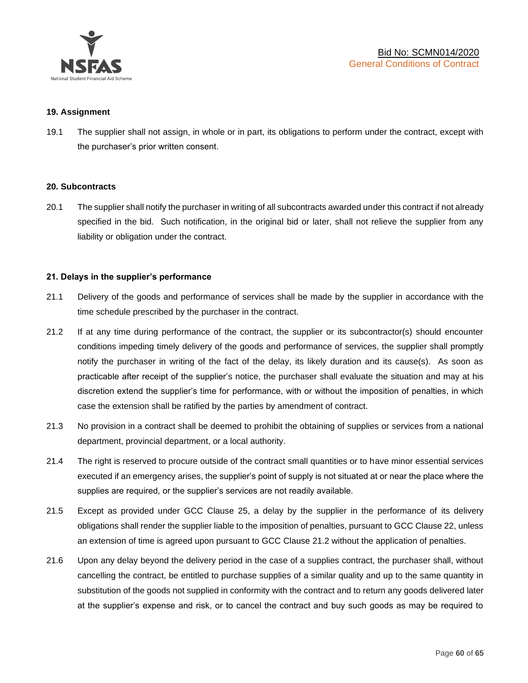

#### **19. Assignment**

19.1 The supplier shall not assign, in whole or in part, its obligations to perform under the contract, except with the purchaser's prior written consent.

#### **20. Subcontracts**

20.1 The supplier shall notify the purchaser in writing of all subcontracts awarded under this contract if not already specified in the bid. Such notification, in the original bid or later, shall not relieve the supplier from any liability or obligation under the contract.

#### **21. Delays in the supplier's performance**

- 21.1 Delivery of the goods and performance of services shall be made by the supplier in accordance with the time schedule prescribed by the purchaser in the contract.
- 21.2 If at any time during performance of the contract, the supplier or its subcontractor(s) should encounter conditions impeding timely delivery of the goods and performance of services, the supplier shall promptly notify the purchaser in writing of the fact of the delay, its likely duration and its cause(s). As soon as practicable after receipt of the supplier's notice, the purchaser shall evaluate the situation and may at his discretion extend the supplier's time for performance, with or without the imposition of penalties, in which case the extension shall be ratified by the parties by amendment of contract.
- 21.3 No provision in a contract shall be deemed to prohibit the obtaining of supplies or services from a national department, provincial department, or a local authority.
- 21.4 The right is reserved to procure outside of the contract small quantities or to have minor essential services executed if an emergency arises, the supplier's point of supply is not situated at or near the place where the supplies are required, or the supplier's services are not readily available.
- 21.5 Except as provided under GCC Clause 25, a delay by the supplier in the performance of its delivery obligations shall render the supplier liable to the imposition of penalties, pursuant to GCC Clause 22, unless an extension of time is agreed upon pursuant to GCC Clause 21.2 without the application of penalties.
- 21.6 Upon any delay beyond the delivery period in the case of a supplies contract, the purchaser shall, without cancelling the contract, be entitled to purchase supplies of a similar quality and up to the same quantity in substitution of the goods not supplied in conformity with the contract and to return any goods delivered later at the supplier's expense and risk, or to cancel the contract and buy such goods as may be required to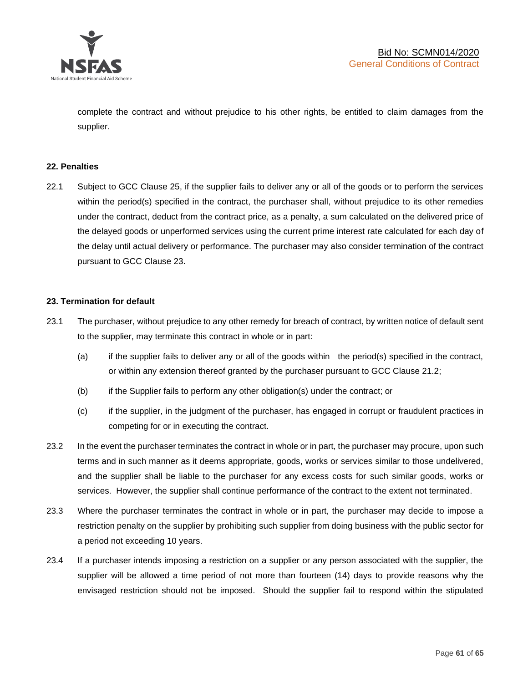

complete the contract and without prejudice to his other rights, be entitled to claim damages from the supplier.

#### **22. Penalties**

22.1 Subject to GCC Clause 25, if the supplier fails to deliver any or all of the goods or to perform the services within the period(s) specified in the contract, the purchaser shall, without prejudice to its other remedies under the contract, deduct from the contract price, as a penalty, a sum calculated on the delivered price of the delayed goods or unperformed services using the current prime interest rate calculated for each day of the delay until actual delivery or performance. The purchaser may also consider termination of the contract pursuant to GCC Clause 23.

#### **23. Termination for default**

- 23.1 The purchaser, without prejudice to any other remedy for breach of contract, by written notice of default sent to the supplier, may terminate this contract in whole or in part:
	- (a) if the supplier fails to deliver any or all of the goods within the period(s) specified in the contract, or within any extension thereof granted by the purchaser pursuant to GCC Clause 21.2;
	- (b) if the Supplier fails to perform any other obligation(s) under the contract; or
	- (c) if the supplier, in the judgment of the purchaser, has engaged in corrupt or fraudulent practices in competing for or in executing the contract.
- 23.2 In the event the purchaser terminates the contract in whole or in part, the purchaser may procure, upon such terms and in such manner as it deems appropriate, goods, works or services similar to those undelivered, and the supplier shall be liable to the purchaser for any excess costs for such similar goods, works or services. However, the supplier shall continue performance of the contract to the extent not terminated.
- 23.3 Where the purchaser terminates the contract in whole or in part, the purchaser may decide to impose a restriction penalty on the supplier by prohibiting such supplier from doing business with the public sector for a period not exceeding 10 years.
- 23.4 If a purchaser intends imposing a restriction on a supplier or any person associated with the supplier, the supplier will be allowed a time period of not more than fourteen (14) days to provide reasons why the envisaged restriction should not be imposed. Should the supplier fail to respond within the stipulated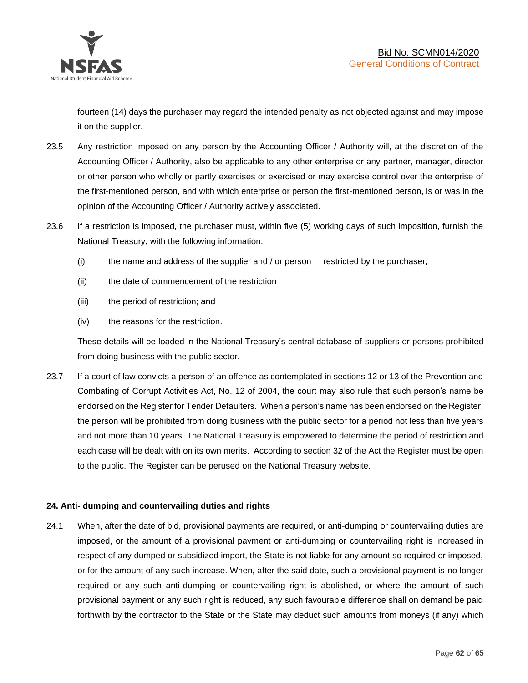

fourteen (14) days the purchaser may regard the intended penalty as not objected against and may impose it on the supplier.

- 23.5 Any restriction imposed on any person by the Accounting Officer / Authority will, at the discretion of the Accounting Officer / Authority, also be applicable to any other enterprise or any partner, manager, director or other person who wholly or partly exercises or exercised or may exercise control over the enterprise of the first-mentioned person, and with which enterprise or person the first-mentioned person, is or was in the opinion of the Accounting Officer / Authority actively associated.
- 23.6 If a restriction is imposed, the purchaser must, within five (5) working days of such imposition, furnish the National Treasury, with the following information:
	- (i) the name and address of the supplier and / or person restricted by the purchaser;
	- (ii) the date of commencement of the restriction
	- (iii) the period of restriction; and
	- (iv) the reasons for the restriction.

These details will be loaded in the National Treasury's central database of suppliers or persons prohibited from doing business with the public sector.

23.7 If a court of law convicts a person of an offence as contemplated in sections 12 or 13 of the Prevention and Combating of Corrupt Activities Act, No. 12 of 2004, the court may also rule that such person's name be endorsed on the Register for Tender Defaulters. When a person's name has been endorsed on the Register, the person will be prohibited from doing business with the public sector for a period not less than five years and not more than 10 years. The National Treasury is empowered to determine the period of restriction and each case will be dealt with on its own merits. According to section 32 of the Act the Register must be open to the public. The Register can be perused on the National Treasury website.

# **24. Anti- dumping and countervailing duties and rights**

24.1 When, after the date of bid, provisional payments are required, or anti-dumping or countervailing duties are imposed, or the amount of a provisional payment or anti-dumping or countervailing right is increased in respect of any dumped or subsidized import, the State is not liable for any amount so required or imposed, or for the amount of any such increase. When, after the said date, such a provisional payment is no longer required or any such anti-dumping or countervailing right is abolished, or where the amount of such provisional payment or any such right is reduced, any such favourable difference shall on demand be paid forthwith by the contractor to the State or the State may deduct such amounts from moneys (if any) which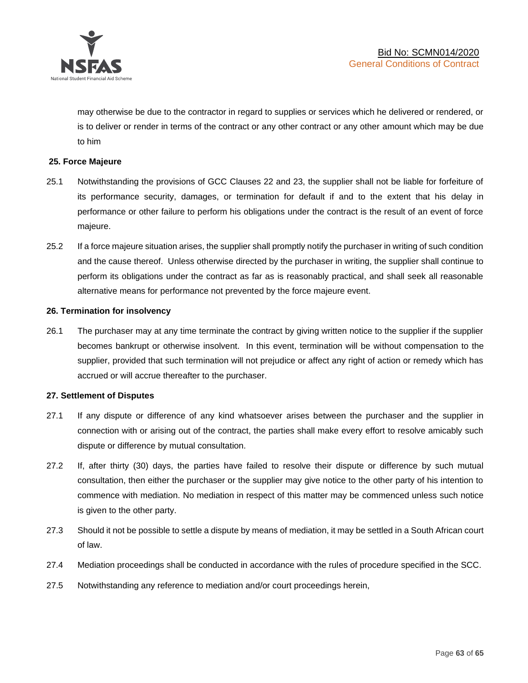

may otherwise be due to the contractor in regard to supplies or services which he delivered or rendered, or is to deliver or render in terms of the contract or any other contract or any other amount which may be due to him

#### **25. Force Majeure**

- 25.1 Notwithstanding the provisions of GCC Clauses 22 and 23, the supplier shall not be liable for forfeiture of its performance security, damages, or termination for default if and to the extent that his delay in performance or other failure to perform his obligations under the contract is the result of an event of force majeure.
- 25.2 If a force majeure situation arises, the supplier shall promptly notify the purchaser in writing of such condition and the cause thereof. Unless otherwise directed by the purchaser in writing, the supplier shall continue to perform its obligations under the contract as far as is reasonably practical, and shall seek all reasonable alternative means for performance not prevented by the force majeure event.

#### **26. Termination for insolvency**

26.1 The purchaser may at any time terminate the contract by giving written notice to the supplier if the supplier becomes bankrupt or otherwise insolvent. In this event, termination will be without compensation to the supplier, provided that such termination will not prejudice or affect any right of action or remedy which has accrued or will accrue thereafter to the purchaser.

#### **27. Settlement of Disputes**

- 27.1 If any dispute or difference of any kind whatsoever arises between the purchaser and the supplier in connection with or arising out of the contract, the parties shall make every effort to resolve amicably such dispute or difference by mutual consultation.
- 27.2 If, after thirty (30) days, the parties have failed to resolve their dispute or difference by such mutual consultation, then either the purchaser or the supplier may give notice to the other party of his intention to commence with mediation. No mediation in respect of this matter may be commenced unless such notice is given to the other party.
- 27.3 Should it not be possible to settle a dispute by means of mediation, it may be settled in a South African court of law.
- 27.4 Mediation proceedings shall be conducted in accordance with the rules of procedure specified in the SCC.
- 27.5 Notwithstanding any reference to mediation and/or court proceedings herein,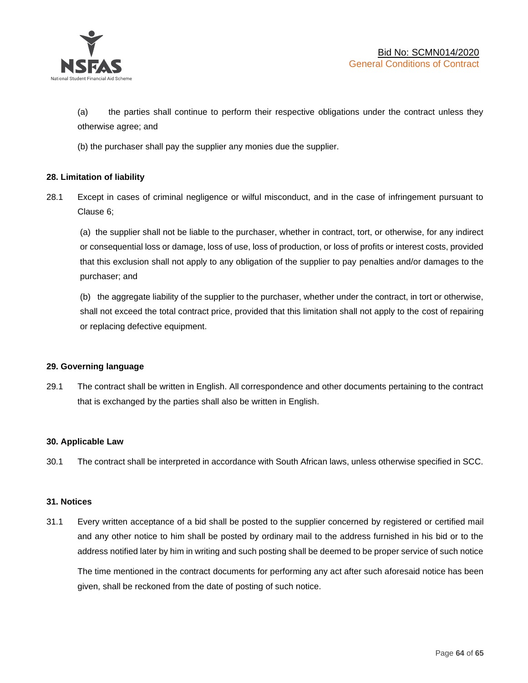

(a) the parties shall continue to perform their respective obligations under the contract unless they otherwise agree; and

(b) the purchaser shall pay the supplier any monies due the supplier.

# **28. Limitation of liability**

28.1 Except in cases of criminal negligence or wilful misconduct, and in the case of infringement pursuant to Clause 6;

(a) the supplier shall not be liable to the purchaser, whether in contract, tort, or otherwise, for any indirect or consequential loss or damage, loss of use, loss of production, or loss of profits or interest costs, provided that this exclusion shall not apply to any obligation of the supplier to pay penalties and/or damages to the purchaser; and

(b) the aggregate liability of the supplier to the purchaser, whether under the contract, in tort or otherwise, shall not exceed the total contract price, provided that this limitation shall not apply to the cost of repairing or replacing defective equipment.

#### **29. Governing language**

29.1 The contract shall be written in English. All correspondence and other documents pertaining to the contract that is exchanged by the parties shall also be written in English.

#### **30. Applicable Law**

30.1 The contract shall be interpreted in accordance with South African laws, unless otherwise specified in SCC.

#### **31. Notices**

31.1 Every written acceptance of a bid shall be posted to the supplier concerned by registered or certified mail and any other notice to him shall be posted by ordinary mail to the address furnished in his bid or to the address notified later by him in writing and such posting shall be deemed to be proper service of such notice

The time mentioned in the contract documents for performing any act after such aforesaid notice has been given, shall be reckoned from the date of posting of such notice.